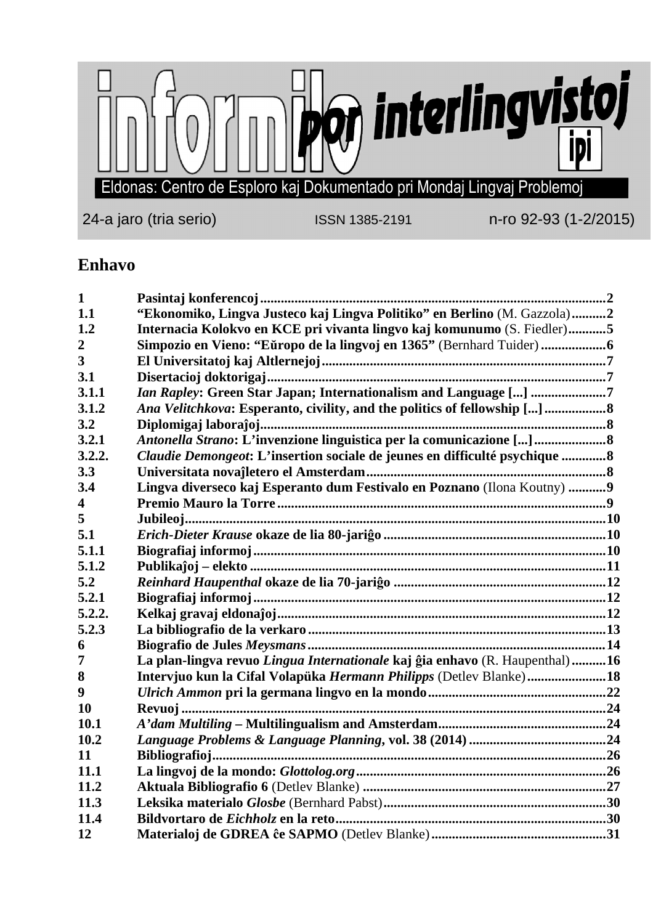

## **Enhavo**

| $\mathbf{1}$   |                                                                             |  |
|----------------|-----------------------------------------------------------------------------|--|
| 1.1            | "Ekonomiko, Lingva Justeco kaj Lingva Politiko" en Berlino (M. Gazzola)2    |  |
| 1.2            | Internacia Kolokvo en KCE pri vivanta lingvo kaj komunumo (S. Fiedler)5     |  |
| $\overline{2}$ |                                                                             |  |
| 3              |                                                                             |  |
| 3.1            |                                                                             |  |
| 3.1.1          | <i>Ian Rapley:</i> Green Star Japan; Internationalism and Language [] 7     |  |
| 3.1.2          | Ana Velitchkova: Esperanto, civility, and the politics of fellowship [] 8   |  |
| 3.2            |                                                                             |  |
| 3.2.1          | Antonella Strano: L'invenzione linguistica per la comunicazione []          |  |
| 3.2.2.         | Claudie Demongeot: L'insertion sociale de jeunes en difficulté psychique 8  |  |
| 3.3            |                                                                             |  |
| 3.4            | Lingva diverseco kaj Esperanto dum Festivalo en Poznano (Ilona Koutny)  9   |  |
| 4              |                                                                             |  |
| 5              |                                                                             |  |
| 5.1            |                                                                             |  |
| 5.1.1          |                                                                             |  |
| 5.1.2          |                                                                             |  |
| 5.2            |                                                                             |  |
| 5.2.1          |                                                                             |  |
| 5.2.2.         |                                                                             |  |
| 5.2.3          |                                                                             |  |
| 6              |                                                                             |  |
| 7              | La plan-lingva revuo Lingua Internationale kaj ĝia enhavo (R. Haupenthal)16 |  |
| 8              | Intervjuo kun la Cifal Volapüka Hermann Philipps (Detlev Blanke)18          |  |
| 9              |                                                                             |  |
| 10             |                                                                             |  |
| 10.1           |                                                                             |  |
| 10.2           |                                                                             |  |
| 11             |                                                                             |  |
| 11.1           |                                                                             |  |
| 11.2           |                                                                             |  |
| 11.3           |                                                                             |  |
| 11.4           |                                                                             |  |
| 12             |                                                                             |  |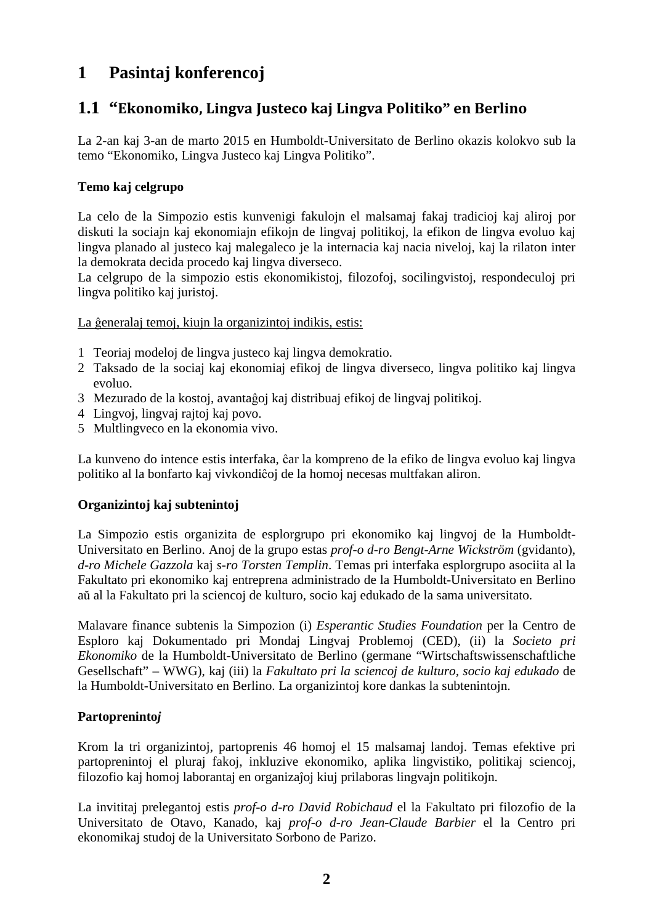# **1 Pasintaj konferencoj**

## **1.1 "Ekonomiko, Lingva Justeco kaj Lingva Politiko" en Berlino**

La 2-an kaj 3-an de marto 2015 en Humboldt-Universitato de Berlino okazis kolokvo sub la temo "Ekonomiko, Lingva Justeco kaj Lingva Politiko".

#### **Temo kaj celgrupo**

La celo de la Simpozio estis kunvenigi fakulojn el malsamaj fakaj tradicioj kaj aliroj por diskuti la sociajn kaj ekonomiajn efikojn de lingvaj politikoj, la efikon de lingva evoluo kaj lingva planado al justeco kaj malegaleco je la internacia kaj nacia niveloj, kaj la rilaton inter la demokrata decida procedo kaj lingva diverseco.

La celgrupo de la simpozio estis ekonomikistoj, filozofoj, socilingvistoj, respondeculoj pri lingva politiko kaj juristoj.

La ĝeneralaj temoj, kiujn la organizintoj indikis, estis:

- 1 Teoriaj modeloj de lingva justeco kaj lingva demokratio.
- 2 Taksado de la sociaj kaj ekonomiaj efikoj de lingva diverseco, lingva politiko kaj lingva evoluo.
- 3 Mezurado de la kostoj, avantaĝoj kaj distribuaj efikoj de lingvaj politikoj.
- 4 Lingvoj, lingvaj rajtoj kaj povo.
- 5 Multlingveco en la ekonomia vivo.

La kunveno do intence estis interfaka, ĉar la kompreno de la efiko de lingva evoluo kaj lingva politiko al la bonfarto kaj vivkondiĉoj de la homoj necesas multfakan aliron.

#### **Organizintoj kaj subtenintoj**

La Simpozio estis organizita de esplorgrupo pri ekonomiko kaj lingvoj de la Humboldt-Universitato en Berlino. Anoj de la grupo estas *prof-o d-ro Bengt-Arne Wickström* (gvidanto), *d-ro Michele Gazzola* kaj *s-ro Torsten Templin*. Temas pri interfaka esplorgrupo asociita al la Fakultato pri ekonomiko kaj entreprena administrado de la Humboldt-Universitato en Berlino aŭ al la Fakultato pri la sciencoj de kulturo, socio kaj edukado de la sama universitato.

Malavare finance subtenis la Simpozion (i) *Esperantic Studies Foundation* per la Centro de Esploro kaj Dokumentado pri Mondaj Lingvaj Problemoj (CED), (ii) la *Societo pri Ekonomiko* de la Humboldt-Universitato de Berlino (germane "Wirtschaftswissenschaftliche Gesellschaft" – WWG), kaj (iii) la *Fakultato pri la sciencoj de kulturo, socio kaj edukado* de la Humboldt-Universitato en Berlino. La organizintoj kore dankas la subtenintojn.

#### **Partopreninto***j*

Krom la tri organizintoj, partoprenis 46 homoj el 15 malsamaj landoj. Temas efektive pri partoprenintoj el pluraj fakoj, inkluzive ekonomiko, aplika lingvistiko, politikaj sciencoj, filozofio kaj homoj laborantaj en organizaĵoj kiuj prilaboras lingvajn politikojn.

La invititaj prelegantoj estis *prof-o d-ro David Robichaud* el la Fakultato pri filozofio de la Universitato de Otavo, Kanado, kaj *prof-o d-ro Jean-Claude Barbier* el la Centro pri ekonomikaj studoj de la Universitato Sorbono de Parizo.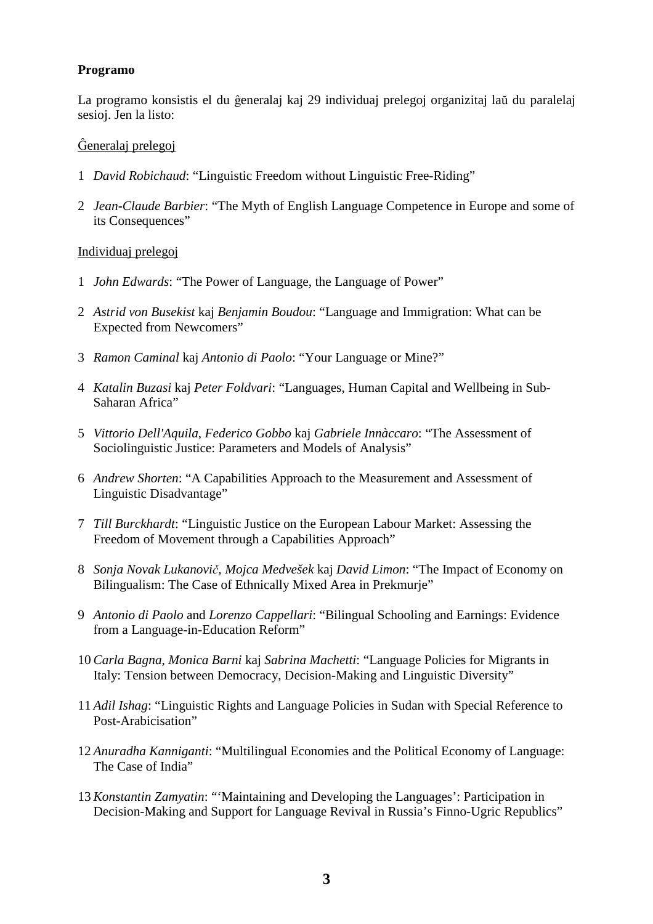#### **Programo**

La programo konsistis el du ĝeneralaj kaj 29 individuaj prelegoj organizitaj laŭ du paralelaj sesioj. Jen la listo:

#### Ĝeneralaj prelegoj

- 1 *David Robichaud*: "Linguistic Freedom without Linguistic Free-Riding"
- 2 *Jean-Claude Barbier*: "The Myth of English Language Competence in Europe and some of its Consequences"

#### Individuaj prelegoj

- 1 *John Edwards*: "The Power of Language, the Language of Power"
- 2 *Astrid von Busekist* kaj *Benjamin Boudou*: "Language and Immigration: What can be Expected from Newcomers"
- 3 *Ramon Caminal* kaj *Antonio di Paolo*: "Your Language or Mine?"
- 4 *Katalin Buzasi* kaj *Peter Foldvari*: "Languages, Human Capital and Wellbeing in Sub- Saharan Africa"
- 5 *Vittorio Dell'Aquila*, *Federico Gobbo* kaj *Gabriele Innàccaro*: "The Assessment of Sociolinguistic Justice: Parameters and Models of Analysis"
- 6 *Andrew Shorten*: "A Capabilities Approach to the Measurement and Assessment of Linguistic Disadvantage"
- 7 *Till Burckhardt*: "Linguistic Justice on the European Labour Market: Assessing the Freedom of Movement through a Capabilities Approach"
- 8 *Sonja Novak Lukanovič*, *Mojca Medvešek* kaj *David Limon*: "The Impact of Economy on Bilingualism: The Case of Ethnically Mixed Area in Prekmurje"
- 9 *Antonio di Paolo* and *Lorenzo Cappellari*: "Bilingual Schooling and Earnings: Evidence from a Language-in-Education Reform"
- 10 *Carla Bagna*, *Monica Barni* kaj *Sabrina Machetti*: "Language Policies for Migrants in Italy: Tension between Democracy, Decision-Making and Linguistic Diversity"
- 11 *Adil Ishag*: "Linguistic Rights and Language Policies in Sudan with Special Reference to Post-Arabicisation"
- 12 *Anuradha Kanniganti*: "Multilingual Economies and the Political Economy of Language: The Case of India"
- 13 *Konstantin Zamyatin*: "'Maintaining and Developing the Languages': Participation in Decision-Making and Support for Language Revival in Russia's Finno-Ugric Republics"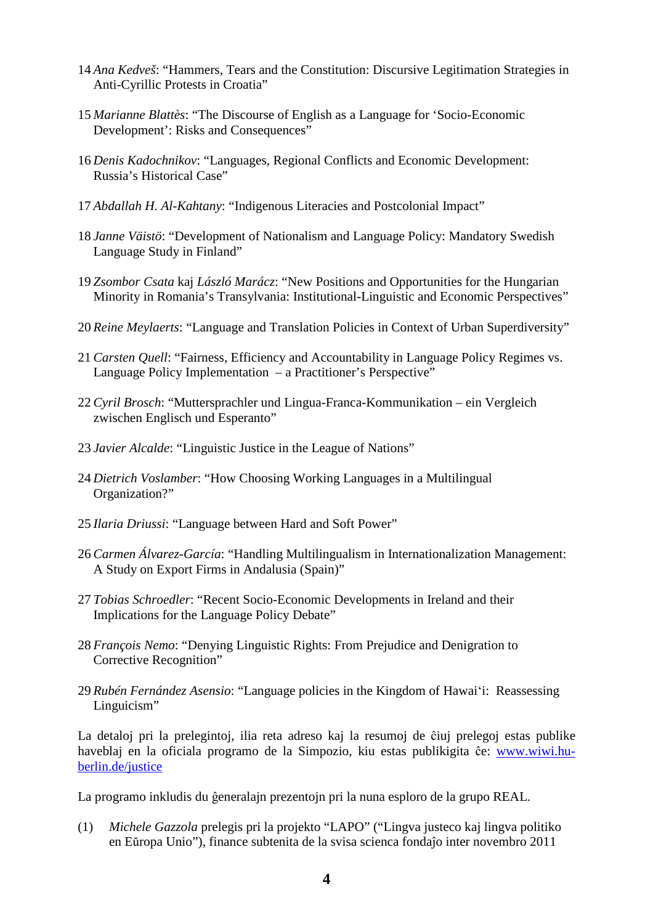- 14 *Ana Kedveš*: "Hammers, Tears and the Constitution: Discursive Legitimation Strategies in Anti-Cyrillic Protests in Croatia"
- 15 *Marianne Blattès*: "The Discourse of English as a Language for 'Socio-Economic Development': Risks and Consequences"
- 16 *Denis Kadochnikov*: "Languages, Regional Conflicts and Economic Development: Russia's Historical Case"
- 17 *Abdallah H. Al-Kahtany*: "Indigenous Literacies and Postcolonial Impact"
- 18 *Janne Väistö*: "Development of Nationalism and Language Policy: Mandatory Swedish Language Study in Finland"
- 19 *Zsombor Csata* kaj *László Marácz*: "New Positions and Opportunities for the Hungarian Minority in Romania's Transylvania: Institutional-Linguistic and Economic Perspectives"
- 20 *Reine Meylaerts*: "Language and Translation Policies in Context of Urban Superdiversity"
- 21 *Carsten Quell*: "Fairness, Efficiency and Accountability in Language Policy Regimes vs. Language Policy Implementation – a Practitioner's Perspective"
- 22 *Cyril Brosch*: "Muttersprachler und Lingua-Franca-Kommunikation ein Vergleich zwischen Englisch und Esperanto"
- 23 *Javier Alcalde*: "Linguistic Justice in the League of Nations"
- 24 *Dietrich Voslamber*: "How Choosing Working Languages in a Multilingual Organization?"
- 25 *Ilaria Driussi*: "Language between Hard and Soft Power"
- 26 *Carmen Álvarez-García*: "Handling Multilingualism in Internationalization Management: A Study on Export Firms in Andalusia (Spain)"
- 27 *Tobias Schroedler*: "Recent Socio-Economic Developments in Ireland and their Implications for the Language Policy Debate"
- 28 *François Nemo*: "Denying Linguistic Rights: From Prejudice and Denigration to Corrective Recognition"
- 29 *Rubén Fernández Asensio*: "Language policies in the Kingdom of Hawaiʻi: Reassessing Linguicism"

La detaloj pri la prelegintoj, ilia reta adreso kaj la resumoj de ĉiuj prelegoj estas publike haveblaj en la oficiala programo de la Simpozio, kiu estas publikigita ĉe: www.wiwi.huberlin.de/justice

La programo inkludis du ĝeneralajn prezentojn pri la nuna esploro de la grupo REAL.

(1) *Michele Gazzola* prelegis pri la projekto "LAPO" ("Lingva justeco kaj lingva politiko en Eŭropa Unio"), finance subtenita de la svisa scienca fondaĵo inter novembro 2011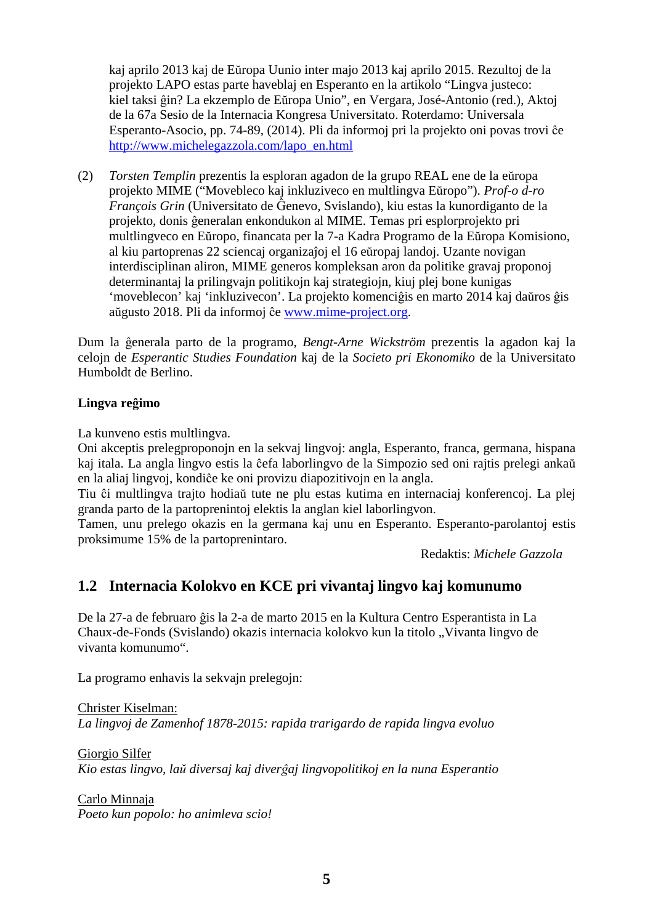kaj aprilo 2013 kaj de Eŭropa Uunio inter majo 2013 kaj aprilo 2015. Rezultoj de la projekto LAPO estas parte haveblaj en Esperanto en la artikolo "Lingva justeco: kiel taksi ĝin? La ekzemplo de Eŭropa Unio", en Vergara, José-Antonio (red.), Aktoj de la 67a Sesio de la Internacia Kongresa Universitato. Roterdamo: Universala Esperanto-Asocio, pp. 74-89, (2014). Pli da informoj pri la projekto oni povas trovi ĉe http://www.michelegazzola.com/lapo\_en.html

(2) *Torsten Templin* prezentis la esploran agadon de la grupo REAL ene de la eŭropa projekto MIME ("Movebleco kaj inkluziveco en multlingva Eŭropo"). *Prof-o d-ro François Grin* (Universitato de Ĝenevo, Svislando), kiu estas la kunordiganto de la projekto, donis ĝeneralan enkondukon al MIME. Temas pri esplorprojekto pri multlingveco en Eŭropo, financata per la 7-a Kadra Programo de la Eŭropa Komisiono, al kiu partoprenas 22 sciencaj organizaĵoj el 16 eŭropaj landoj. Uzante novigan interdisciplinan aliron, MIME generos kompleksan aron da politike gravaj proponoj determinantaj la prilingvajn politikojn kaj strategiojn, kiuj plej bone kunigas 'moveblecon' kaj 'inkluzivecon'. La projekto komenciĝis en marto 2014 kaj daŭros ĝis aŭgusto 2018. Pli da informoj ĉe www.mime-project.org.

Dum la ĝenerala parto de la programo, *Bengt-Arne Wickström* prezentis la agadon kaj la celojn de *Esperantic Studies Foundation* kaj de la *Societo pri Ekonomiko* de la Universitato Humboldt de Berlino.

#### **Lingva reĝimo**

La kunveno estis multlingva.

Oni akceptis prelegproponojn en la sekvaj lingvoj: angla, Esperanto, franca, germana, hispana kaj itala. La angla lingvo estis la ĉefa laborlingvo de la Simpozio sed oni rajtis prelegi ankaŭ en la aliaj lingvoj, kondiĉe ke oni provizu diapozitivojn en la angla.

Tiu ĉi multlingva trajto hodiaŭ tute ne plu estas kutima en internaciaj konferencoj. La plej granda parto de la partoprenintoj elektis la anglan kiel laborlingvon.

Tamen, unu prelego okazis en la germana kaj unu en Esperanto. Esperanto-parolantoj estis proksimume 15% de la partoprenintaro.

Redaktis: *Michele Gazzola*

## **1.2 Internacia Kolokvo en KCE pri vivantaj lingvo kaj komunumo**

De la 27-a de februaro ĝis la 2-a de marto 2015 en la Kultura Centro Esperantista in La Chaux-de-Fonds (Svislando) okazis internacia kolokvo kun la titolo "Vivanta lingvo de vivanta komunumo".

La programo enhavis la sekvajn prelegojn:

Christer Kiselman: *La lingvoj de Zamenhof 1878-2015: rapida trarigardo de rapida lingva evoluo* 

Giorgio Silfer *Kio estas lingvo, laŭ diversaj kaj diverĝaj lingvopolitikoj en la nuna Esperantio* 

Carlo Minnaja *Poeto kun popolo: ho animleva scio!*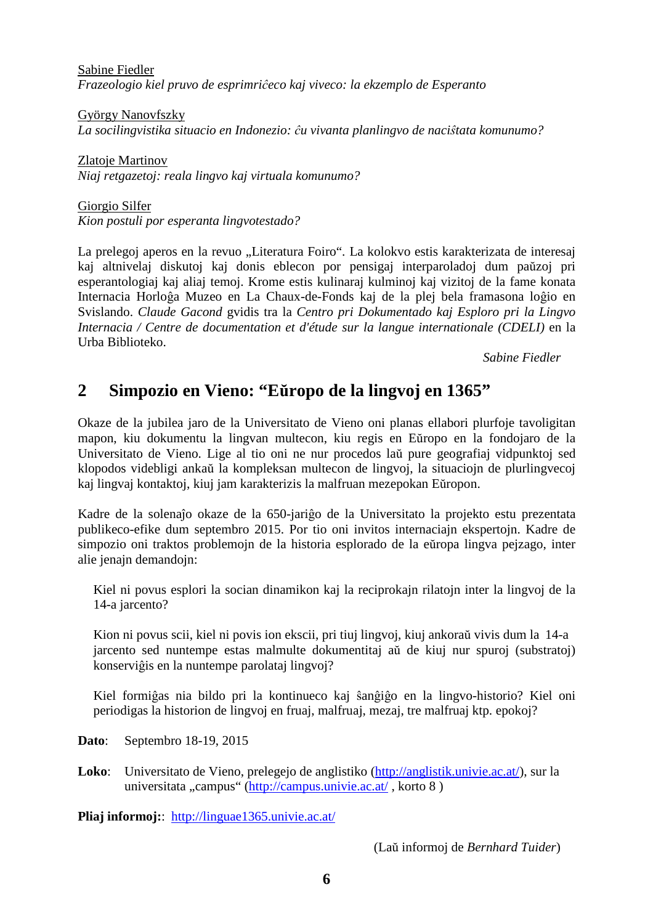Sabine Fiedler *Frazeologio kiel pruvo de esprimriĉeco kaj viveco: la ekzemplo de Esperanto* 

György Nanovfszky *La socilingvistika situacio en Indonezio: ĉu vivanta planlingvo de naciŝtata komunumo?* 

Zlatoje Martinov *Niaj retgazetoj: reala lingvo kaj virtuala komunumo?* 

Giorgio Silfer *Kion postuli por esperanta lingvotestado?* 

La prelegoj aperos en la revuo "Literatura Foiro". La kolokvo estis karakterizata de interesaj kaj altnivelaj diskutoj kaj donis eblecon por pensigaj interparoladoj dum paŭzoj pri esperantologiaj kaj aliaj temoj. Krome estis kulinaraj kulminoj kaj vizitoj de la fame konata Internacia Horloĝa Muzeo en La Chaux-de-Fonds kaj de la plej bela framasona loĝio en Svislando. *Claude Gacond* gvidis tra la *Centro pri Dokumentado kaj Esploro pri la Lingvo Internacia / Centre de documentation et d'étude sur la langue internationale (CDELI)* en la Urba Biblioteko.

*Sabine Fiedler* 

## **2 Simpozio en Vieno: "Eŭropo de la lingvoj en 1365"**

Okaze de la jubilea jaro de la Universitato de Vieno oni planas ellabori plurfoje tavoligitan mapon, kiu dokumentu la lingvan multecon, kiu regis en Eŭropo en la fondojaro de la Universitato de Vieno. Lige al tio oni ne nur procedos laŭ pure geografiaj vidpunktoj sed klopodos videbligi ankaŭ la kompleksan multecon de lingvoj, la situaciojn de plurlingvecoj kaj lingvaj kontaktoj, kiuj jam karakterizis la malfruan mezepokan Eŭropon.

Kadre de la solenaĵo okaze de la 650-jariĝo de la Universitato la projekto estu prezentata publikeco-efike dum septembro 2015. Por tio oni invitos internaciajn ekspertojn. Kadre de simpozio oni traktos problemojn de la historia esplorado de la eŭropa lingva pejzago, inter alie jenajn demandojn:

 Kiel ni povus esplori la socian dinamikon kaj la reciprokajn rilatojn inter la lingvoj de la 14-a jarcento?

 Kion ni povus scii, kiel ni povis ion ekscii, pri tiuj lingvoj, kiuj ankoraŭ vivis dum la 14-a jarcento sed nuntempe estas malmulte dokumentitaj aŭ de kiuj nur spuroj (substratoj) konserviĝis en la nuntempe parolataj lingvoj?

 Kiel formiĝas nia bildo pri la kontinueco kaj ŝanĝiĝo en la lingvo-historio? Kiel oni periodigas la historion de lingvoj en fruaj, malfruaj, mezaj, tre malfruaj ktp. epokoj?

**Dato**: Septembro 18-19, 2015

Loko: Universitato de Vieno, prelegejo de anglistiko (http://anglistik.univie.ac.at/), sur la universitata "campus" (http://campus.univie.ac.at/, korto 8)

**Pliaj informoj:**: http://linguae1365.univie.ac.at/

(Laŭ informoj de *Bernhard Tuider*)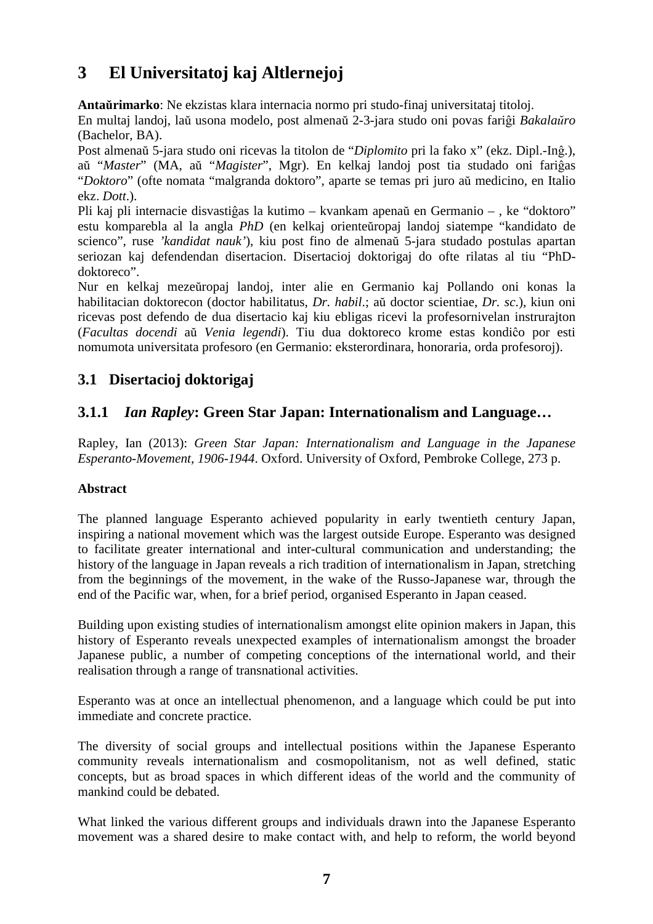# **3 El Universitatoj kaj Altlernejoj**

**Antaŭrimarko**: Ne ekzistas klara internacia normo pri studo-finaj universitataj titoloj.

En multaj landoj, laŭ usona modelo, post almenaŭ 2-3-jara studo oni povas fariĝi *Bakalaŭro* (Bachelor, BA).

Post almenaŭ 5-jara studo oni ricevas la titolon de "*Diplomito* pri la fako x" (ekz. Dipl.-Inĝ.), aŭ "*Master*" (MA, aŭ "*Magister*", Mgr). En kelkaj landoj post tia studado oni fariĝas "*Doktoro*" (ofte nomata "malgranda doktoro", aparte se temas pri juro aŭ medicino, en Italio ekz. *Dott*.).

Pli kaj pli internacie disvastiĝas la kutimo – kvankam apenaŭ en Germanio – , ke "doktoro" estu komparebla al la angla *PhD* (en kelkaj orienteŭropaj landoj siatempe "kandidato de scienco", ruse *'kandidat nauk'*), kiu post fino de almenaŭ 5-jara studado postulas apartan seriozan kaj defendendan disertacion. Disertacioj doktorigaj do ofte rilatas al tiu "PhDdoktoreco".

Nur en kelkaj mezeŭropaj landoj, inter alie en Germanio kaj Pollando oni konas la habilitacian doktorecon (doctor habilitatus, *Dr. habil*.; aŭ doctor scientiae, *Dr. sc*.), kiun oni ricevas post defendo de dua disertacio kaj kiu ebligas ricevi la profesornivelan instrurajton (*Facultas docendi* aŭ *Venia legendi*). Tiu dua doktoreco krome estas kondiĉo por esti nomumota universitata profesoro (en Germanio: eksterordinara, honoraria, orda profesoroj).

## **3.1 Disertacioj doktorigaj**

## **3.1.1** *Ian Rapley***: Green Star Japan: Internationalism and Language…**

Rapley, Ian (2013): *Green Star Japan: Internationalism and Language in the Japanese Esperanto-Movement, 1906-1944*. Oxford. University of Oxford, Pembroke College, 273 p.

### **Abstract**

The planned language Esperanto achieved popularity in early twentieth century Japan, inspiring a national movement which was the largest outside Europe. Esperanto was designed to facilitate greater international and inter-cultural communication and understanding; the history of the language in Japan reveals a rich tradition of internationalism in Japan, stretching from the beginnings of the movement, in the wake of the Russo-Japanese war, through the end of the Pacific war, when, for a brief period, organised Esperanto in Japan ceased.

Building upon existing studies of internationalism amongst elite opinion makers in Japan, this history of Esperanto reveals unexpected examples of internationalism amongst the broader Japanese public, a number of competing conceptions of the international world, and their realisation through a range of transnational activities.

Esperanto was at once an intellectual phenomenon, and a language which could be put into immediate and concrete practice.

The diversity of social groups and intellectual positions within the Japanese Esperanto community reveals internationalism and cosmopolitanism, not as well defined, static concepts, but as broad spaces in which different ideas of the world and the community of mankind could be debated.

What linked the various different groups and individuals drawn into the Japanese Esperanto movement was a shared desire to make contact with, and help to reform, the world beyond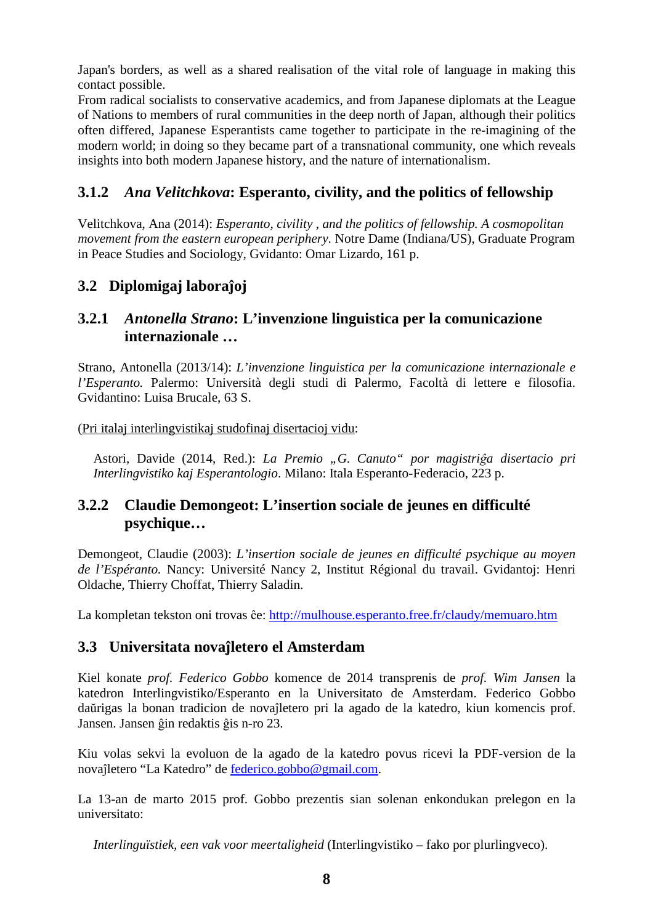Japan's borders, as well as a shared realisation of the vital role of language in making this contact possible.

From radical socialists to conservative academics, and from Japanese diplomats at the League of Nations to members of rural communities in the deep north of Japan, although their politics often differed, Japanese Esperantists came together to participate in the re-imagining of the modern world; in doing so they became part of a transnational community, one which reveals insights into both modern Japanese history, and the nature of internationalism.

## **3.1.2** *Ana Velitchkova***: Esperanto, civility, and the politics of fellowship**

Velitchkova, Ana (2014): *Esperanto, civility , and the politics of fellowship. A cosmopolitan movement from the eastern european periphery*. Notre Dame (Indiana/US), Graduate Program in Peace Studies and Sociology, Gvidanto: Omar Lizardo, 161 p.

## **3.2 Diplomigaj laboraĵoj**

### **3.2.1** *Antonella Strano***: L'invenzione linguistica per la comunicazione internazionale …**

Strano, Antonella (2013/14): *L'invenzione linguistica per la comunicazione internazionale e l'Esperanto.* Palermo: Università degli studi di Palermo, Facoltà di lettere e filosofia. Gvidantino: Luisa Brucale, 63 S.

(Pri italaj interlingvistikaj studofinaj disertacioj vidu:

 Astori, Davide (2014, Red.): *La Premio "G. Canuto" por magistriĝa disertacio pri Interlingvistiko kaj Esperantologio*. Milano: Itala Esperanto-Federacio, 223 p.

### **3.2.2 Claudie Demongeot: L'insertion sociale de jeunes en difficulté psychique…**

Demongeot, Claudie (2003): *L'insertion sociale de jeunes en difficulté psychique au moyen de l'Espéranto.* Nancy: Université Nancy 2, Institut Régional du travail. Gvidantoj: Henri Oldache, Thierry Choffat, Thierry Saladin.

La kompletan tekston oni trovas ĉe: http://mulhouse.esperanto.free.fr/claudy/memuaro.htm

### **3.3 Universitata novaĵletero el Amsterdam**

Kiel konate *prof. Federico Gobbo* komence de 2014 transprenis de *prof. Wim Jansen* la katedron Interlingvistiko/Esperanto en la Universitato de Amsterdam. Federico Gobbo daŭrigas la bonan tradicion de novaĵletero pri la agado de la katedro, kiun komencis prof. Jansen. Jansen ĝin redaktis ĝis n-ro 23.

Kiu volas sekvi la evoluon de la agado de la katedro povus ricevi la PDF-version de la novaĵletero "La Katedro" de federico.gobbo@gmail.com.

La 13-an de marto 2015 prof. Gobbo prezentis sian solenan enkondukan prelegon en la universitato:

 *Interlinguïstiek, een vak voor meertaligheid* (Interlingvistiko – fako por plurlingveco).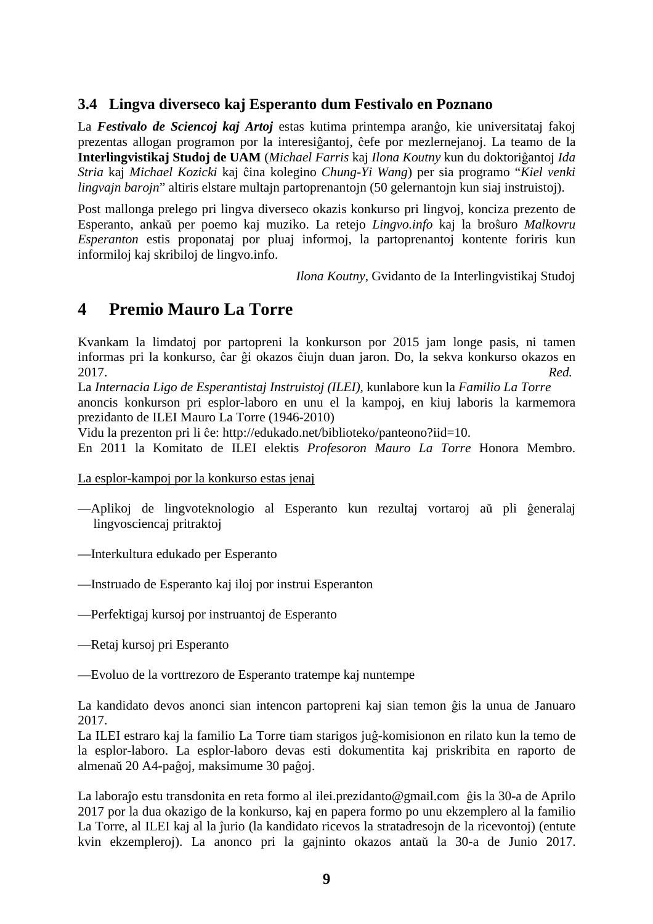### **3.4 Lingva diverseco kaj Esperanto dum Festivalo en Poznano**

La *Festivalo de Sciencoj kaj Artoj* estas kutima printempa aranĝo, kie universitataj fakoj prezentas allogan programon por la interesiĝantoj, ĉefe por mezlernejanoj. La teamo de la **Interlingvistikaj Studoj de UAM** (*Michael Farris* kaj *Ilona Koutny* kun du doktoriĝantoj *Ida Stria* kaj *Michael Kozicki* kaj ĉina kolegino *Chung-Yi Wang*) per sia programo "*Kiel venki lingvajn barojn*" altiris elstare multajn partoprenantojn (50 gelernantojn kun siaj instruistoj).

Post mallonga prelego pri lingva diverseco okazis konkurso pri lingvoj, konciza prezento de Esperanto, ankaŭ per poemo kaj muziko. La retejo *Lingvo.info* kaj la broŝuro *Malkovru Esperanton* estis proponataj por pluaj informoj, la partoprenantoj kontente foriris kun informiloj kaj skribiloj de lingvo.info.

*Ilona Koutny*, Gvidanto de Ia Interlingvistikaj Studoj

## **4 Premio Mauro La Torre**

Kvankam la limdatoj por partopreni la konkurson por 2015 jam longe pasis, ni tamen informas pri la konkurso, ĉar ĝi okazos ĉiujn duan jaron. Do, la sekva konkurso okazos en 2017. *Red.* 

La *Internacia Ligo de Esperantistaj Instruistoj (ILEI),* kunlabore kun la *Familio La Torre*

anoncis konkurson pri esplor-laboro en unu el la kampoj, en kiuj laboris la karmemora prezidanto de ILEI Mauro La Torre (1946-2010)

Vidu la prezenton pri li ĉe: http://edukado.net/biblioteko/panteono?iid=10.

En 2011 la Komitato de ILEI elektis *Profesoron Mauro La Torre* Honora Membro.

La esplor-kampoj por la konkurso estas jenaj

- —Aplikoj de lingvoteknologio al Esperanto kun rezultaj vortaroj aŭ pli ĝeneralaj lingvosciencaj pritraktoj
- —Interkultura edukado per Esperanto
- —Instruado de Esperanto kaj iloj por instrui Esperanton
- —Perfektigaj kursoj por instruantoj de Esperanto
- —Retaj kursoj pri Esperanto

—Evoluo de la vorttrezoro de Esperanto tratempe kaj nuntempe

La kandidato devos anonci sian intencon partopreni kaj sian temon ĝis la unua de Januaro 2017.

La ILEI estraro kaj la familio La Torre tiam starigos juĝ-komisionon en rilato kun la temo de la esplor-laboro. La esplor-laboro devas esti dokumentita kaj priskribita en raporto de almenaŭ 20 A4-paĝoj, maksimume 30 paĝoj.

La laboraĵo estu transdonita en reta formo al ilei.prezidanto@gmail.com ĝis la 30-a de Aprilo 2017 por la dua okazigo de la konkurso, kaj en papera formo po unu ekzemplero al la familio La Torre, al ILEI kaj al la ĵurio (la kandidato ricevos la stratadresojn de la ricevontoj) (entute kvin ekzempleroj). La anonco pri la gajninto okazos antaŭ la 30-a de Junio 2017.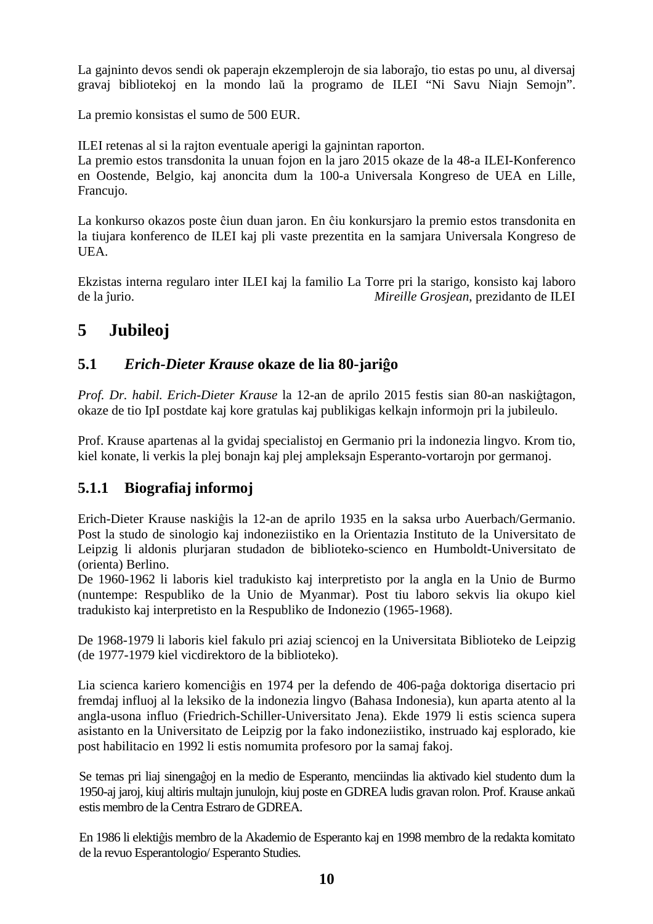La gajninto devos sendi ok paperajn ekzemplerojn de sia laboraĵo, tio estas po unu, al diversaj gravaj bibliotekoj en la mondo laŭ la programo de ILEI "Ni Savu Niajn Semojn".

La premio konsistas el sumo de 500 EUR.

ILEI retenas al si la rajton eventuale aperigi la gajnintan raporton.

La premio estos transdonita la unuan fojon en la jaro 2015 okaze de la 48-a ILEI-Konferenco en Oostende, Belgio, kaj anoncita dum la 100-a Universala Kongreso de UEA en Lille, Francujo.

La konkurso okazos poste ĉiun duan jaron. En ĉiu konkursjaro la premio estos transdonita en la tiujara konferenco de ILEI kaj pli vaste prezentita en la samjara Universala Kongreso de UEA.

Ekzistas interna regularo inter ILEI kaj la familio La Torre pri la starigo, konsisto kaj laboro de la ĵurio. *Mireille Grosjean*, prezidanto de ILEI

# **5 Jubileoj**

### **5.1** *Erich-Dieter Krause* **okaze de lia 80-jariĝo**

*Prof. Dr. habil. Erich-Dieter Krause* la 12-an de aprilo 2015 festis sian 80-an naskiĝtagon, okaze de tio IpI postdate kaj kore gratulas kaj publikigas kelkajn informojn pri la jubileulo.

Prof. Krause apartenas al la gvidaj specialistoj en Germanio pri la indonezia lingvo. Krom tio, kiel konate, li verkis la plej bonajn kaj plej ampleksajn Esperanto-vortarojn por germanoj.

## **5.1.1 Biografiaj informoj**

Erich-Dieter Krause naskiĝis la 12-an de aprilo 1935 en la saksa urbo Auerbach/Germanio. Post la studo de sinologio kaj indoneziistiko en la Orientazia Instituto de la Universitato de Leipzig li aldonis plurjaran studadon de biblioteko-scienco en Humboldt-Universitato de (orienta) Berlino.

De 1960-1962 li laboris kiel tradukisto kaj interpretisto por la angla en la Unio de Burmo (nuntempe: Respubliko de la Unio de Myanmar). Post tiu laboro sekvis lia okupo kiel tradukisto kaj interpretisto en la Respubliko de Indonezio (1965-1968).

De 1968-1979 li laboris kiel fakulo pri aziaj sciencoj en la Universitata Biblioteko de Leipzig (de 1977-1979 kiel vicdirektoro de la biblioteko).

Lia scienca kariero komenciĝis en 1974 per la defendo de 406-paĝa doktoriga disertacio pri fremdaj influoj al la leksiko de la indonezia lingvo (Bahasa Indonesia), kun aparta atento al la angla-usona influo (Friedrich-Schiller-Universitato Jena). Ekde 1979 li estis scienca supera asistanto en la Universitato de Leipzig por la fako indoneziistiko, instruado kaj esplorado, kie post habilitacio en 1992 li estis nomumita profesoro por la samaj fakoj.

Se temas pri liaj sinengaĝoj en la medio de Esperanto, menciindas lia aktivado kiel studento dum la 1950-aj jaroj, kiuj altiris multajn junulojn, kiuj poste en GDREA ludis gravan rolon. Prof. Krause ankaŭ estis membro de la Centra Estraro de GDREA.

En 1986 li elektiĝis membro de la Akademio de Esperanto kaj en 1998 membro de la redakta komitato de la revuo Esperantologio/ Esperanto Studies.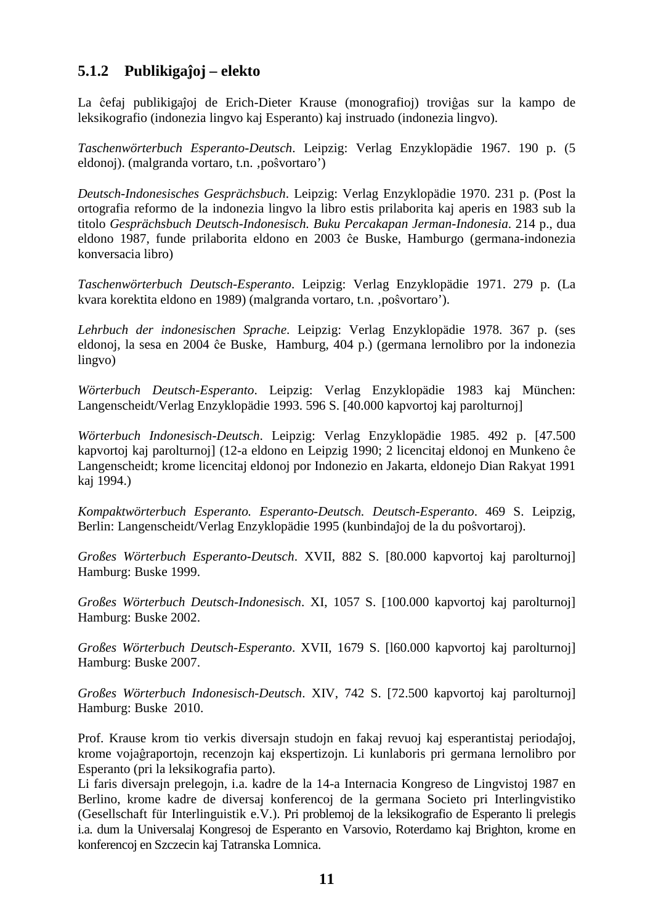### **5.1.2 Publikigaĵoj – elekto**

La ĉefaj publikigaĵoj de Erich-Dieter Krause (monografioj) troviĝas sur la kampo de leksikografio (indonezia lingvo kaj Esperanto) kaj instruado (indonezia lingvo).

*Taschenwörterbuch Esperanto-Deutsch*. Leipzig: Verlag Enzyklopädie 1967. 190 p. (5 eldonoj). (malgranda vortaro, t.n. 'poŝvortaro')

*Deutsch-Indonesisches Gesprächsbuch*. Leipzig: Verlag Enzyklopädie 1970. 231 p. (Post la ortografia reformo de la indonezia lingvo la libro estis prilaborita kaj aperis en 1983 sub la titolo *Gesprächsbuch Deutsch-Indonesisch. Buku Percakapan Jerman-Indonesia*. 214 p., dua eldono 1987, funde prilaborita eldono en 2003 ĉe Buske, Hamburgo (germana-indonezia konversacia libro)

*Taschenwörterbuch Deutsch-Esperanto*. Leipzig: Verlag Enzyklopädie 1971. 279 p. (La kvara korektita eldono en 1989) (malgranda vortaro, t.n. 'poŝvortaro').

*Lehrbuch der indonesischen Sprache*. Leipzig: Verlag Enzyklopädie 1978. 367 p. (ses eldonoj, la sesa en 2004 ĉe Buske, Hamburg, 404 p.) (germana lernolibro por la indonezia lingvo)

*Wörterbuch Deutsch-Esperanto*. Leipzig: Verlag Enzyklopädie 1983 kaj München: Langenscheidt/Verlag Enzyklopädie 1993. 596 S. [40.000 kapvortoj kaj parolturnoj]

*Wörterbuch Indonesisch-Deutsch*. Leipzig: Verlag Enzyklopädie 1985. 492 p. [47.500 kapvortoj kaj parolturnoj] (12-a eldono en Leipzig 1990; 2 licencitaj eldonoj en Munkeno ĉe Langenscheidt; krome licencitaj eldonoj por Indonezio en Jakarta, eldonejo Dian Rakyat 1991 kaj 1994.)

*Kompaktwörterbuch Esperanto. Esperanto-Deutsch. Deutsch-Esperanto*. 469 S. Leipzig, Berlin: Langenscheidt/Verlag Enzyklopädie 1995 (kunbindaĵoj de la du poŝvortaroj).

*Großes Wörterbuch Esperanto-Deutsch*. XVII, 882 S. [80.000 kapvortoj kaj parolturnoj] Hamburg: Buske 1999.

*Großes Wörterbuch Deutsch-Indonesisch*. XI, 1057 S. [100.000 kapvortoj kaj parolturnoj] Hamburg: Buske 2002.

*Großes Wörterbuch Deutsch-Esperanto*. XVII, 1679 S. [l60.000 kapvortoj kaj parolturnoj] Hamburg: Buske 2007.

*Großes Wörterbuch Indonesisch-Deutsch*. XIV, 742 S. [72.500 kapvortoj kaj parolturnoj] Hamburg: Buske 2010.

Prof. Krause krom tio verkis diversajn studojn en fakaj revuoj kaj esperantistaj periodaĵoj, krome vojaĝraportojn, recenzojn kaj ekspertizojn. Li kunlaboris pri germana lernolibro por Esperanto (pri la leksikografia parto).

Li faris diversajn prelegojn, i.a. kadre de la 14-a Internacia Kongreso de Lingvistoj 1987 en Berlino, krome kadre de diversaj konferencoj de la germana Societo pri Interlingvistiko (Gesellschaft für Interlinguistik e.V.). Pri problemoj de la leksikografio de Esperanto li prelegis i.a. dum la Universalaj Kongresoj de Esperanto en Varsovio, Roterdamo kaj Brighton, krome en konferencoj en Szczecin kaj Tatranska Lomnica.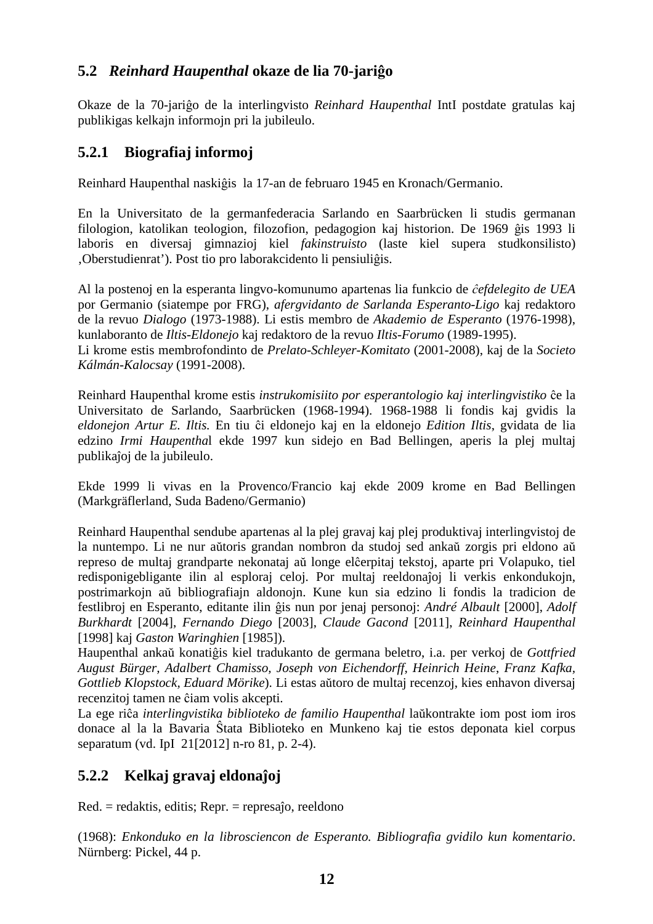### **5.2** *Reinhard Haupenthal* **okaze de lia 70-jariĝo**

Okaze de la 70-jariĝo de la interlingvisto *Reinhard Haupenthal* IntI postdate gratulas kaj publikigas kelkajn informojn pri la jubileulo.

### **5.2.1 Biografiaj informoj**

Reinhard Haupenthal naskiĝis la 17-an de februaro 1945 en Kronach/Germanio.

En la Universitato de la germanfederacia Sarlando en Saarbrücken li studis germanan filologion, katolikan teologion, filozofion, pedagogion kaj historion. De 1969 ĝis 1993 li laboris en diversaj gimnazioj kiel *fakinstruisto* (laste kiel supera studkonsilisto) 'Oberstudienrat'). Post tio pro laborakcidento li pensiuliĝis.

Al la postenoj en la esperanta lingvo-komunumo apartenas lia funkcio de *ĉefdelegito de UEA* por Germanio (siatempe por FRG), *afergvidanto de Sarlanda Esperanto-Ligo* kaj redaktoro de la revuo *Dialogo* (1973-1988). Li estis membro de *Akademio de Esperanto* (1976-1998), kunlaboranto de *Iltis-Eldonejo* kaj redaktoro de la revuo *Iltis-Forumo* (1989-1995). Li krome estis membrofondinto de *Prelato-Schleyer-Komitato* (2001-2008), kaj de la *Societo Kálmán-Kalocsay* (1991-2008).

Reinhard Haupenthal krome estis *instrukomisiito por esperantologio kaj interlingvistiko* ĉe la Universitato de Sarlando, Saarbrücken (1968-1994). 1968-1988 li fondis kaj gvidis la *eldonejon Artur E. Iltis.* En tiu ĉi eldonejo kaj en la eldonejo *Edition Iltis*, gvidata de lia edzino *Irmi Haupentha*l ekde 1997 kun sidejo en Bad Bellingen, aperis la plej multaj publikaĵoj de la jubileulo.

Ekde 1999 li vivas en la Provenco/Francio kaj ekde 2009 krome en Bad Bellingen (Markgräflerland, Suda Badeno/Germanio)

Reinhard Haupenthal sendube apartenas al la plej gravaj kaj plej produktivaj interlingvistoj de la nuntempo. Li ne nur aŭtoris grandan nombron da studoj sed ankaŭ zorgis pri eldono aŭ represo de multaj grandparte nekonataj aŭ longe elĉerpitaj tekstoj, aparte pri Volapuko, tiel redisponigebligante ilin al esploraj celoj. Por multaj reeldonaĵoj li verkis enkondukojn, postrimarkojn aŭ bibliografiajn aldonojn. Kune kun sia edzino li fondis la tradicion de festlibroj en Esperanto, editante ilin ĝis nun por jenaj personoj: *André Albault* [2000], *Adolf Burkhardt* [2004], *Fernando Diego* [2003], *Claude Gacond* [2011], *Reinhard Haupenthal* [1998] kaj *Gaston Waringhien* [1985]).

Haupenthal ankaŭ konatiĝis kiel tradukanto de germana beletro, i.a. per verkoj de *Gottfried August Bürger, Adalbert Chamisso, Joseph von Eichendorff, Heinrich Heine*, *Franz Kafka, Gottlieb Klopstock, Eduard Mörike*). Li estas aŭtoro de multaj recenzoj, kies enhavon diversaj recenzitoj tamen ne ĉiam volis akcepti.

La ege riĉa *interlingvistika biblioteko de familio Haupenthal* laŭkontrakte iom post iom iros donace al la la Bavaria Ŝtata Biblioteko en Munkeno kaj tie estos deponata kiel corpus separatum (vd. IpI 21[2012] n-ro 81, p. 2-4).

## **5.2.2 Kelkaj gravaj eldonaĵoj**

Red. = redaktis, editis; Repr. = represaĵo, reeldono

(1968): *Enkonduko en la librosciencon de Esperanto. Bibliografia gvidilo kun komentario*. Nürnberg: Pickel, 44 p.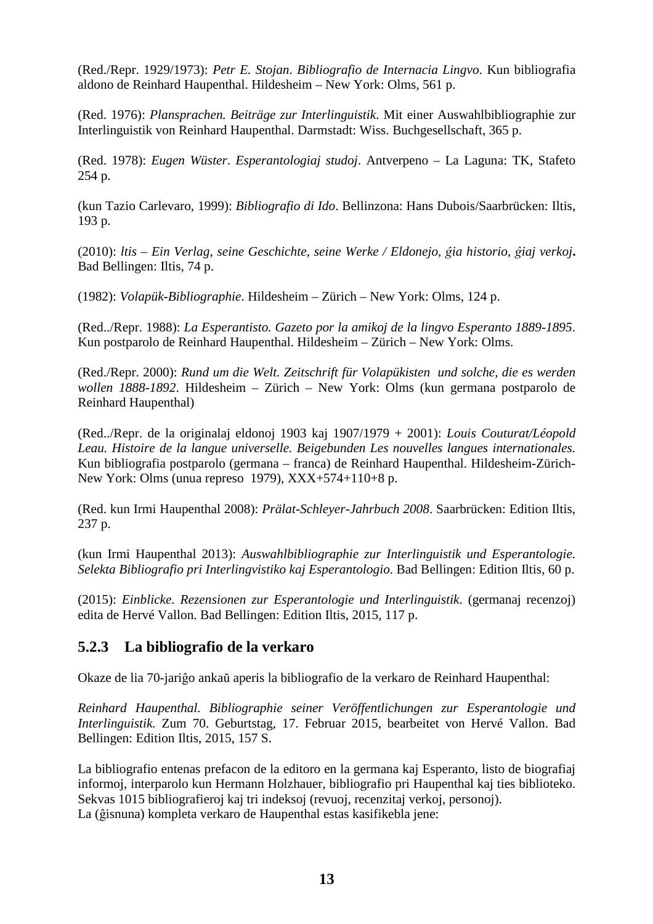(Red./Repr. 1929/1973): *Petr E. Stojan*. *Bibliografio de Internacia Lingvo*. Kun bibliografia aldono de Reinhard Haupenthal. Hildesheim – New York: Olms, 561 p.

(Red. 1976): *Plansprachen. Beiträge zur Interlinguistik*. Mit einer Auswahlbibliographie zur Interlinguistik von Reinhard Haupenthal. Darmstadt: Wiss. Buchgesellschaft, 365 p.

(Red. 1978): *Eugen Wüster*. *Esperantologiaj studoj*. Antverpeno – La Laguna: TK, Stafeto 254 p.

(kun Tazio Carlevaro, 1999): *Bibliografio di Ido*. Bellinzona: Hans Dubois/Saarbrücken: Iltis, 193 p.

(2010): *ltis – Ein Verlag, seine Geschichte, seine Werke / Eldonejo, ĝia historio, ĝiaj verkoj***.**  Bad Bellingen: Iltis, 74 p.

(1982): *Volapük-Bibliographie*. Hildesheim – Zürich – New York: Olms, 124 p.

(Red../Repr. 1988): *La Esperantisto. Gazeto por la amikoj de la lingvo Esperanto 1889-1895*. Kun postparolo de Reinhard Haupenthal. Hildesheim – Zürich – New York: Olms.

(Red./Repr. 2000): *Rund um die Welt. Zeitschrift für Volapükisten und solche, die es werden wollen 1888-1892*. Hildesheim – Zürich – New York: Olms (kun germana postparolo de Reinhard Haupenthal)

(Red../Repr. de la originalaj eldonoj 1903 kaj 1907/1979 + 2001): *Louis Couturat/Léopold Leau. Histoire de la langue universelle. Beigebunden Les nouvelles langues internationales.* Kun bibliografia postparolo (germana – franca) de Reinhard Haupenthal. Hildesheim-Zürich-New York: Olms (unua represo 1979), XXX+574+110+8 p.

(Red. kun Irmi Haupenthal 2008): *Prälat-Schleyer-Jahrbuch 2008*. Saarbrücken: Edition Iltis, 237 p.

(kun Irmi Haupenthal 2013): *Auswahlbibliographie zur Interlinguistik und Esperantologie. Selekta Bibliografio pri Interlingvistiko kaj Esperantologio*. Bad Bellingen: Edition Iltis, 60 p.

(2015): *Einblicke. Rezensionen zur Esperantologie und Interlinguistik*. (germanaj recenzoj) edita de Hervé Vallon. Bad Bellingen: Edition Iltis, 2015, 117 p.

### **5.2.3 La bibliografio de la verkaro**

Okaze de lia 70-jariĝo ankaŭ aperis la bibliografio de la verkaro de Reinhard Haupenthal:

*Reinhard Haupenthal. Bibliographie seiner Veröffentlichungen zur Esperantologie und Interlinguistik.* Zum 70. Geburtstag, 17. Februar 2015, bearbeitet von Hervé Vallon. Bad Bellingen: Edition Iltis, 2015, 157 S.

La bibliografio entenas prefacon de la editoro en la germana kaj Esperanto, listo de biografiaj informoj, interparolo kun Hermann Holzhauer, bibliografio pri Haupenthal kaj ties biblioteko. Sekvas 1015 bibliografieroj kaj tri indeksoj (revuoj, recenzitaj verkoj, personoj). La (ĝisnuna) kompleta verkaro de Haupenthal estas kasifikebla jene: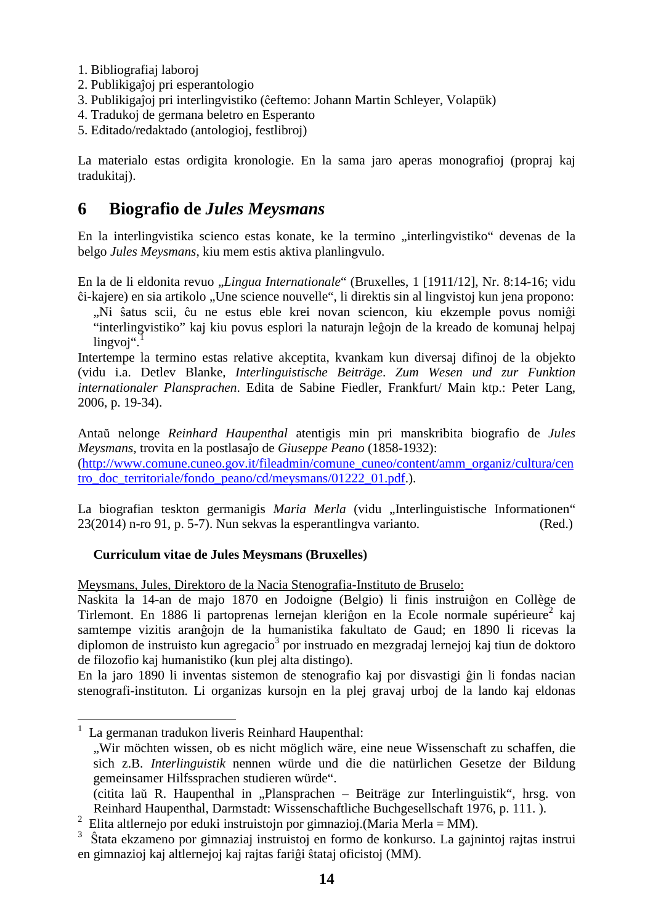- 1. Bibliografiaj laboroj
- 2. Publikigaĵoj pri esperantologio
- 3. Publikigaĵoj pri interlingvistiko (ĉeftemo: Johann Martin Schleyer, Volapük)
- 4. Tradukoj de germana beletro en Esperanto
- 5. Editado/redaktado (antologioj, festlibroj)

La materialo estas ordigita kronologie. En la sama jaro aperas monografioj (propraj kaj tradukitaj).

## **6 Biografio de** *Jules Meysmans*

En la interlingvistika scienco estas konate, ke la termino "interlingvistiko" devenas de la belgo *Jules Meysmans*, kiu mem estis aktiva planlingvulo.

En la de li eldonita revuo "*Lingua Internationale*" (Bruxelles, 1 [1911/12], Nr. 8:14-16; vidu ĉi-kajere) en sia artikolo "Une science nouvelle", li direktis sin al lingvistoj kun jena propono:

"Ni ŝatus scii, ĉu ne estus eble krei novan sciencon, kiu ekzemple povus nomiĝi "interlingvistiko" kaj kiu povus esplori la naturajn leĝojn de la kreado de komunaj helpaj  $lingvoi<sup>4</sup>$ .

Intertempe la termino estas relative akceptita, kvankam kun diversaj difinoj de la objekto (vidu i.a. Detlev Blanke, *Interlinguistische Beiträge*. *Zum Wesen und zur Funktion internationaler Plansprachen*. Edita de Sabine Fiedler, Frankfurt/ Main ktp.: Peter Lang, 2006, p. 19-34).

Antaŭ nelonge *Reinhard Haupenthal* atentigis min pri manskribita biografio de *Jules Meysmans*, trovita en la postlasaĵo de *Giuseppe Peano* (1858-1932): (http://www.comune.cuneo.gov.it/fileadmin/comune\_cuneo/content/amm\_organiz/cultura/cen tro\_doc\_territoriale/fondo\_peano/cd/meysmans/01222\_01.pdf.).

La biografian teskton germanigis *Maria Merla* (vidu "Interlinguistische Informationen" 23(2014) n-ro 91, p. 5-7). Nun sekvas la esperantlingva varianto. (Red.)

### **Curriculum vitae de Jules Meysmans (Bruxelles)**

Meysmans, Jules, Direktoro de la Nacia Stenografia-Instituto de Bruselo:

Naskita la 14-an de majo 1870 en Jodoigne (Belgio) li finis instruiĝon en Collège de Tirlemont. En 1886 li partoprenas lernejan kleriĝon en la Ecole normale supérieure<sup>2</sup> kaj samtempe vizitis aranĝojn de la humanistika fakultato de Gaud; en 1890 li ricevas la diplomon de instruisto kun agregacio<sup>3</sup> por instruado en mezgradaj lernejoj kaj tiun de doktoro de filozofio kaj humanistiko (kun plej alta distingo).

En la jaro 1890 li inventas sistemon de stenografio kaj por disvastigi ĝin li fondas nacian stenografi-instituton. Li organizas kursojn en la plej gravaj urboj de la lando kaj eldonas

 $\overline{a}$ 

<sup>&</sup>lt;sup>1</sup> La germanan tradukon liveris Reinhard Haupenthal:

 <sup>&</sup>quot;Wir möchten wissen, ob es nicht möglich wäre, eine neue Wissenschaft zu schaffen, die sich z.B. *Interlinguistik* nennen würde und die die natürlichen Gesetze der Bildung gemeinsamer Hilfssprachen studieren würde".

 <sup>(</sup>citita laŭ R. Haupenthal in "Plansprachen – Beiträge zur Interlinguistik", hrsg. von Reinhard Haupenthal, Darmstadt: Wissenschaftliche Buchgesellschaft 1976, p. 111. ).

<sup>&</sup>lt;sup>2</sup> Elita altlernejo por eduki instruistojn por gimnazioj. (Maria Merla = MM).

<sup>3</sup> Ŝtata ekzameno por gimnaziaj instruistoj en formo de konkurso. La gajnintoj rajtas instrui en gimnazioj kaj altlernejoj kaj rajtas fariĝi ŝtataj oficistoj (MM).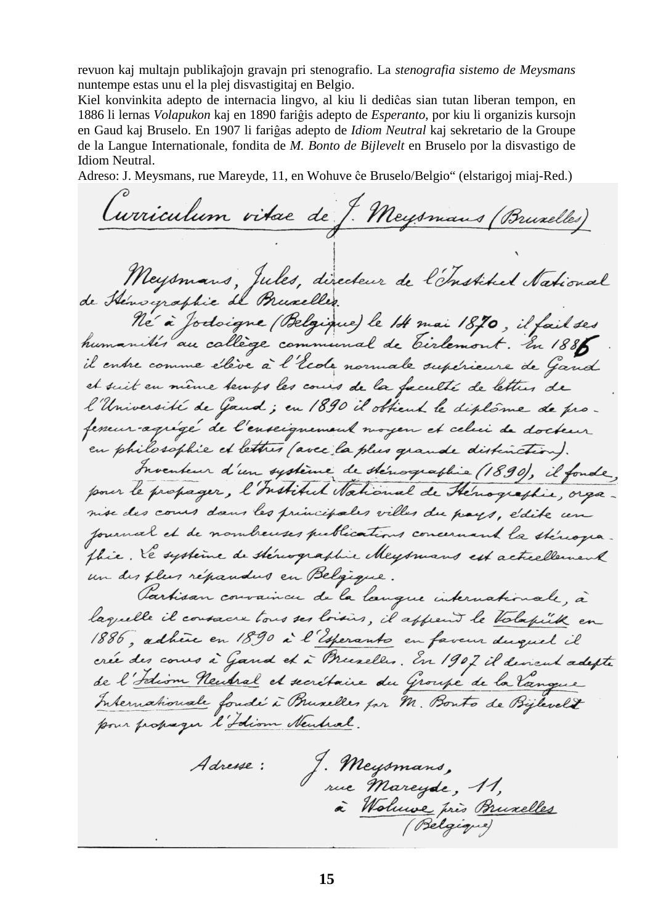revuon kaj multajn publikaĵojn gravajn pri stenografio. La *stenografia sistemo de Meysmans* nuntempe estas unu el la plej disvastigitaj en Belgio.

Kiel konvinkita adepto de internacia lingvo, al kiu li dediĉas sian tutan liberan tempon, en 1886 li lernas *Volapukon* kaj en 1890 fariĝis adepto de *Esperanto*, por kiu li organizis kursojn en Gaud kaj Bruselo. En 1907 li fariĝas adepto de *Idiom Neutral* kaj sekretario de la Groupe de la Langue Internationale, fondita de *M. Bonto de Bijlevelt* en Bruselo por la disvastigo de Idiom Neutral.

Adreso: J. Meysmans, rue Mareyde, 11, en Wohuve ĉe Bruselo/Belgio" (elstarigoj miaj-Red.)

Curriculum vitae de J. Meysmans (Bruxelles) Meysmans, Jules, directeur de l'Instituel National de Hénographie de Pruxelles. Né à Jodoigne (Belgique) le 14 mai 1870, il fail ses humanités au callège communal de Tirlemont. En 1885 il entre comme élève à l'école normale supérieure de Gand et suit en même temps les cours de la faculté de lettres de l'Université de Gaud; en 1890 il obtient le diplôme de profemeur-agrégé de l'enseignement moyen et celui de docteur en philosophie et lettres (avec la plus grande distinction). Inventeur d'un système de sténographie (1890), il fonde, pour le propager, l'Institut National de Hénographie, organise des cours dans les principales villes du pays, édite un fournal et de nombreuses publications concernant la stériogia. thie. He systeme de stériographie Meysmans est actuellement un des plus répandus en Belgique. Partisan convaincu de la langue internationale, à laquelle il consacre tous ses loisies, il append le Valapille en 1886, adhere en 1890 à l'Esperants en faveur duquel il crée des cours à Gand et à Breezelles. En 1907 il devient adepte de l'Idiom Neutral et secrétaire du Groupe de la Vangue Internationale fondé à Bruxelles par M. Bonto de Bijlevelt pour propager l'Idiom Neubral. J. Meysmans,<br>rue Mareyde, 11, Adresse: à Wolnwe près Bruxelles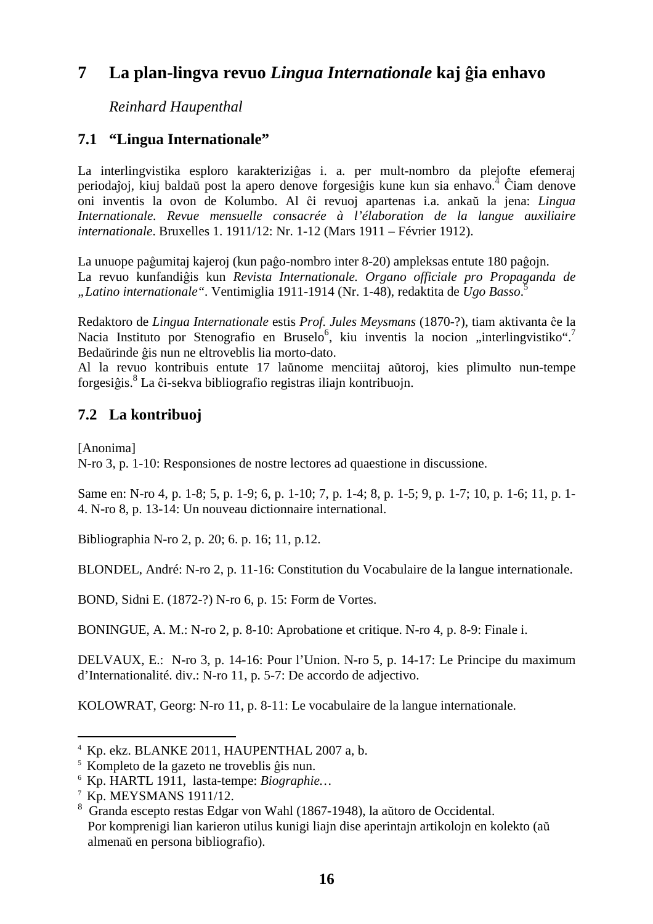# **7 La plan-lingva revuo** *Lingua Internationale* **kaj ĝia enhavo**

*Reinhard Haupenthal* 

### **7.1 "Lingua Internationale"**

La interlingvistika esploro karakteriziĝas i. a. per mult-nombro da plejofte efemeraj periodaĵoj, kiuj baldaŭ post la apero denove forgesiĝis kune kun sia enhavo.<sup>4</sup> Ĉiam denove oni inventis la ovon de Kolumbo. Al ĉi revuoj apartenas i.a. ankaŭ la jena: *Lingua Internationale. Revue mensuelle consacrée à l'élaboration de la langue auxiliaire internationale*. Bruxelles 1. 1911/12: Nr. 1-12 (Mars 1911 – Février 1912).

La unuope paĝumitaj kajeroj (kun paĝo-nombro inter 8-20) ampleksas entute 180 paĝojn. La revuo kunfandiĝis kun *Revista Internationale. Organo officiale pro Propaganda de "Latino internationale".* Ventimiglia 1911-1914 (Nr. 1-48), redaktita de *Ugo Basso*. 5

Redaktoro de *Lingua Internationale* estis *Prof. Jules Meysmans* (1870-?), tiam aktivanta ĉe la Nacia Instituto por Stenografio en Bruselo<sup>6</sup>, kiu inventis la nocion "interlingvistiko".<sup>7</sup> Bedaŭrinde ĝis nun ne eltroveblis lia morto-dato.

Al la revuo kontribuis entute 17 laŭnome menciitaj aŭtoroj, kies plimulto nun-tempe forgesiĝis.<sup>8</sup> La ĉi-sekva bibliografio registras iliajn kontribuojn.

## **7.2 La kontribuoj**

[Anonima]

 $\overline{a}$ 

N-ro 3, p. 1-10: Responsiones de nostre lectores ad quaestione in discussione.

Same en: N-ro 4, p. 1-8; 5, p. 1-9; 6, p. 1-10; 7, p. 1-4; 8, p. 1-5; 9, p. 1-7; 10, p. 1-6; 11, p. 1- 4. N-ro 8, p. 13-14: Un nouveau dictionnaire international.

Bibliographia N-ro 2, p. 20; 6. p. 16; 11, p.12.

BLONDEL, André: N-ro 2, p. 11-16: Constitution du Vocabulaire de la langue internationale.

BOND, Sidni E. (1872-?) N-ro 6, p. 15: Form de Vortes.

BONINGUE, A. M.: N-ro 2, p. 8-10: Aprobatione et critique. N-ro 4, p. 8-9: Finale i.

DELVAUX, E.: N-ro 3, p. 14-16: Pour l'Union. N-ro 5, p. 14-17: Le Principe du maximum d'Internationalité. div.: N-ro 11, p. 5-7: De accordo de adjectivo.

KOLOWRAT, Georg: N-ro 11, p. 8-11: Le vocabulaire de la langue internationale.

<sup>4</sup> Kp. ekz. BLANKE 2011, HAUPENTHAL 2007 a, b.

<sup>5</sup> Kompleto de la gazeto ne troveblis ĝis nun.

<sup>6</sup> Kp. HARTL 1911, lasta-tempe: *Biographie…*

<sup>7</sup> Kp. MEYSMANS 1911/12.

<sup>8</sup> Granda escepto restas Edgar von Wahl (1867-1948), la aŭtoro de Occidental. Por komprenigi lian karieron utilus kunigi liajn dise aperintajn artikolojn en kolekto (aŭ almenaŭ en persona bibliografio).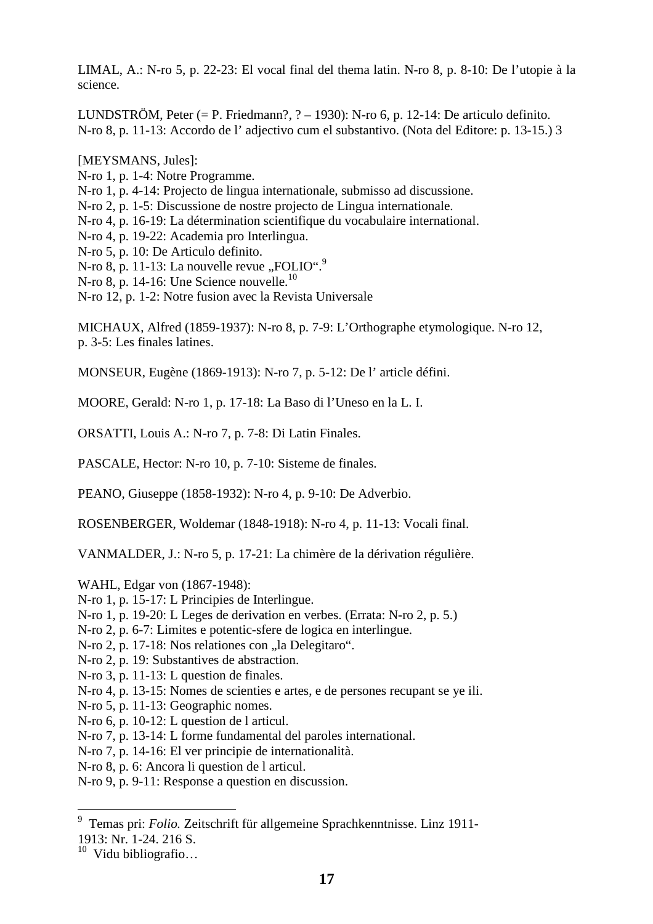LIMAL, A.: N-ro 5, p. 22-23: El vocal final del thema latin. N-ro 8, p. 8-10: De l'utopie à la science.

LUNDSTRÖM, Peter  $(= P.$  Friedmann?,  $? - 1930$ ): N-ro 6, p. 12-14: De articulo definito. N-ro 8, p. 11-13: Accordo de l' adjectivo cum el substantivo. (Nota del Editore: p. 13-15.) 3

[MEYSMANS, Jules]:

- N-ro 1, p. 1-4: Notre Programme.
- N-ro 1, p. 4-14: Projecto de lingua internationale, submisso ad discussione.
- N-ro 2, p. 1-5: Discussione de nostre projecto de Lingua internationale.
- N-ro 4, p. 16-19: La détermination scientifique du vocabulaire international.
- N-ro 4, p. 19-22: Academia pro Interlingua.
- N-ro 5, p. 10: De Articulo definito.
- N-ro 8, p. 11-13: La nouvelle revue "FOLIO".<sup>9</sup>
- N-ro 8, p. 14-16: Une Science nouvelle.<sup>10</sup>
- N-ro 12, p. 1-2: Notre fusion avec la Revista Universale

MICHAUX, Alfred (1859-1937): N-ro 8, p. 7-9: L'Orthographe etymologique. N-ro 12, p. 3-5: Les finales latines.

MONSEUR, Eugène (1869-1913): N-ro 7, p. 5-12: De l' article défini.

MOORE, Gerald: N-ro 1, p. 17-18: La Baso di l'Uneso en la L. I.

ORSATTI, Louis A.: N-ro 7, p. 7-8: Di Latin Finales.

PASCALE, Hector: N-ro 10, p. 7-10: Sisteme de finales.

PEANO, Giuseppe (1858-1932): N-ro 4, p. 9-10: De Adverbio.

ROSENBERGER, Woldemar (1848-1918): N-ro 4, p. 11-13: Vocali final.

VANMALDER, J.: N-ro 5, p. 17-21: La chimère de la dérivation régulière.

WAHL, Edgar von (1867-1948):

- N-ro 1, p. 15-17: L Principies de Interlingue.
- N-ro 1, p. 19-20: L Leges de derivation en verbes. (Errata: N-ro 2, p. 5.)
- N-ro 2, p. 6-7: Limites e potentic-sfere de logica en interlingue.
- N-ro 2, p. 17-18: Nos relationes con "la Delegitaro".
- N-ro 2, p. 19: Substantives de abstraction.
- N-ro 3, p. 11-13: L question de finales.
- N-ro 4, p. 13-15: Nomes de scienties e artes, e de persones recupant se ye ili.
- N-ro 5, p. 11-13: Geographic nomes.
- N-ro 6, p. 10-12: L question de l articul.
- N-ro 7, p. 13-14: L forme fundamental del paroles international.
- N-ro 7, p. 14-16: El ver principie de internationalità.
- N-ro 8, p. 6: Ancora li question de l articul.

N-ro 9, p. 9-11: Response a question en discussion.

 9 Temas pri: *Folio.* Zeitschrift für allgemeine Sprachkenntnisse. Linz 1911- 1913: Nr. 1-24. 216 S.

 $10$  Vidu bibliografio...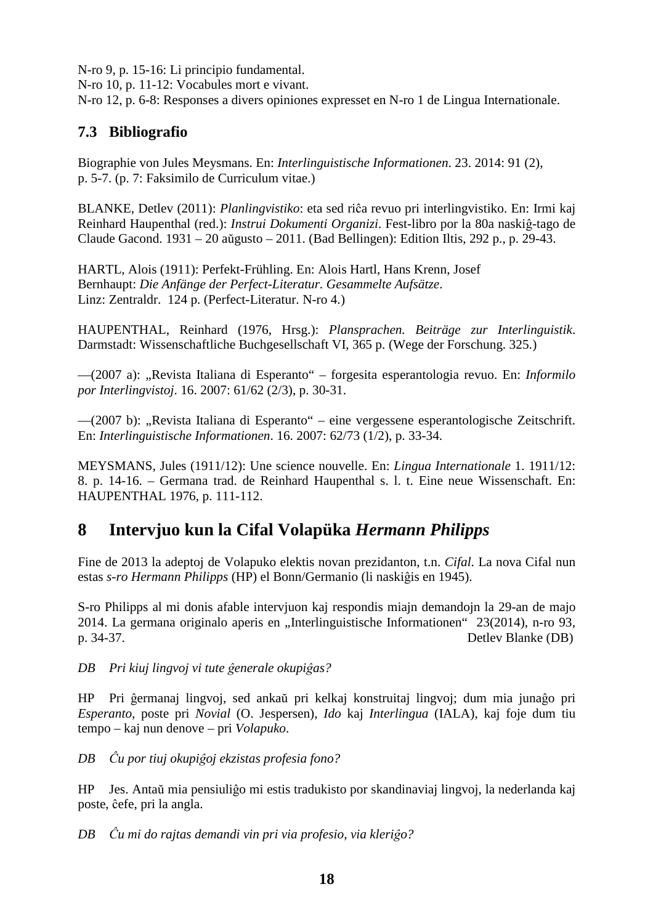N-ro 9, p. 15-16: Li principio fundamental. N-ro 10, p. 11-12: Vocabules mort e vivant. N-ro 12, p. 6-8: Responses a divers opiniones expresset en N-ro 1 de Lingua Internationale.

## **7.3 Bibliografio**

Biographie von Jules Meysmans. En: *Interlinguistische Informationen*. 23. 2014: 91 (2), p. 5-7. (p. 7: Faksimilo de Curriculum vitae.)

BLANKE, Detlev (2011): *Planlingvistiko*: eta sed riĉa revuo pri interlingvistiko. En: Irmi kaj Reinhard Haupenthal (red.): *Instrui Dokumenti Organizi*. Fest-libro por la 80a naskiĝ-tago de Claude Gacond. 1931 – 20 aŭgusto – 2011. (Bad Bellingen): Edition Iltis, 292 p., p. 29-43.

HARTL, Alois (1911): Perfekt-Frühling. En: Alois Hartl, Hans Krenn, Josef Bernhaupt: *Die Anfänge der Perfect-Literatur. Gesammelte Aufsätze*. Linz: Zentraldr. 124 p. (Perfect-Literatur. N-ro 4.)

HAUPENTHAL, Reinhard (1976, Hrsg.): *Plansprachen. Beiträge zur Interlinguistik*. Darmstadt: Wissenschaftliche Buchgesellschaft VI, 365 p. (Wege der Forschung. 325.)

—(2007 a): "Revista Italiana di Esperanto" – forgesita esperantologia revuo. En: *Informilo por Interlingvistoj*. 16. 2007: 61/62 (2/3), p. 30-31.

—(2007 b): "Revista Italiana di Esperanto" – eine vergessene esperantologische Zeitschrift. En: *Interlinguistische Informationen*. 16. 2007: 62/73 (1/2), p. 33-34.

MEYSMANS, Jules (1911/12): Une science nouvelle. En: *Lingua Internationale* 1. 1911/12: 8. p. 14-16. – Germana trad. de Reinhard Haupenthal s. l. t. Eine neue Wissenschaft. En: HAUPENTHAL 1976, p. 111-112.

## **8 Intervjuo kun la Cifal Volapüka** *Hermann Philipps*

Fine de 2013 la adeptoj de Volapuko elektis novan prezidanton, t.n. *Cifal*. La nova Cifal nun estas *s-ro Hermann Philipps* (HP) el Bonn/Germanio (li naskiĝis en 1945).

S-ro Philipps al mi donis afable intervjuon kaj respondis miajn demandojn la 29-an de majo 2014. La germana originalo aperis en "Interlinguistische Informationen" 23(2014), n-ro 93, p. 34-37. Detlev Blanke (DB)

*DB Pri kiuj lingvoj vi tute ĝenerale okupiĝas?* 

HP Pri ĝermanaj lingvoj, sed ankaŭ pri kelkaj konstruitaj lingvoj; dum mia junaĝo pri *Esperanto,* poste pri *Novial* (O. Jespersen), *Ido* kaj *Interlingua* (IALA), kaj foje dum tiu tempo – kaj nun denove – pri *Volapuko*.

*DB Ĉu por tiuj okupiĝoj ekzistas profesia fono?* 

HP Jes. Antaŭ mia pensiuliĝo mi estis tradukisto por skandinaviaj lingvoj, la nederlanda kaj poste, ĉefe, pri la angla.

*DB Ĉu mi do rajtas demandi vin pri via profesio, via kleriĝo?*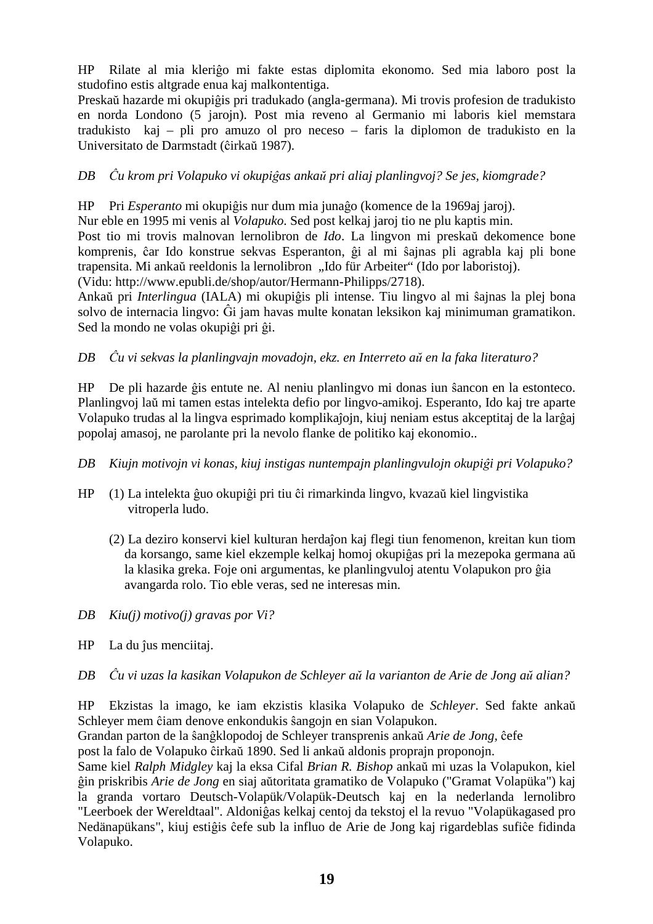HP Rilate al mia kleriĝo mi fakte estas diplomita ekonomo. Sed mia laboro post la studofino estis altgrade enua kaj malkontentiga.

Preskaŭ hazarde mi okupiĝis pri tradukado (angla-germana). Mi trovis profesion de tradukisto en norda Londono (5 jarojn). Post mia reveno al Germanio mi laboris kiel memstara tradukisto kaj – pli pro amuzo ol pro neceso – faris la diplomon de tradukisto en la Universitato de Darmstadt (ĉirkaŭ 1987).

### *DB Ĉu krom pri Volapuko vi okupiĝas ankaŭ pri aliaj planlingvoj? Se jes, kiomgrade?*

HP Pri *Esperanto* mi okupiĝis nur dum mia junaĝo (komence de la 1969aj jaroj).

Nur eble en 1995 mi venis al *Volapuko*. Sed post kelkaj jaroj tio ne plu kaptis min.

Post tio mi trovis malnovan lernolibron de *Ido*. La lingvon mi preskaŭ dekomence bone komprenis, ĉar Ido konstrue sekvas Esperanton, ĝi al mi ŝajnas pli agrabla kaj pli bone trapensita. Mi ankaŭ reeldonis la lernolibron "Ido für Arbeiter" (Ido por laboristoj). (Vidu: http://www.epubli.de/shop/autor/Hermann-Philipps/2718).

Ankaŭ pri *Interlingua* (IALA) mi okupiĝis pli intense. Tiu lingvo al mi ŝajnas la plej bona solvo de internacia lingvo: Ĝi jam havas multe konatan leksikon kaj minimuman gramatikon. Sed la mondo ne volas okupiĝi pri ĝi.

### *DB Ĉu vi sekvas la planlingvajn movadojn, ekz. en Interreto aŭ en la faka literaturo?*

HP De pli hazarde ĝis entute ne. Al neniu planlingvo mi donas iun ŝancon en la estonteco. Planlingvoj laŭ mi tamen estas intelekta defio por lingvo-amikoj. Esperanto, Ido kaj tre aparte Volapuko trudas al la lingva esprimado komplikaĵojn, kiuj neniam estus akceptitaj de la larĝaj popolaj amasoj, ne parolante pri la nevolo flanke de politiko kaj ekonomio..

- *DB Kiujn motivojn vi konas, kiuj instigas nuntempajn planlingvulojn okupiĝi pri Volapuko?*
- HP (1) La intelekta ĝuo okupiĝi pri tiu ĉi rimarkinda lingvo, kvazaŭ kiel lingvistika vitroperla ludo.
	- (2) La deziro konservi kiel kulturan herdaĵon kaj flegi tiun fenomenon, kreitan kun tiom da korsango, same kiel ekzemple kelkaj homoj okupiĝas pri la mezepoka germana aŭ la klasika greka. Foje oni argumentas, ke planlingvuloj atentu Volapukon pro ĝia avangarda rolo. Tio eble veras, sed ne interesas min.
- *DB Kiu(j) motivo(j) gravas por Vi?*
- HP La du ĵus menciitaj.
- *DB Ĉu vi uzas la kasikan Volapukon de Schleyer aŭ la varianton de Arie de Jong aŭ alian?*

HP Ekzistas la imago, ke iam ekzistis klasika Volapuko de *Schleyer*. Sed fakte ankaŭ Schleyer mem ĉiam denove enkondukis ŝangojn en sian Volapukon.

Grandan parton de la ŝanĝklopodoj de Schleyer transprenis ankaŭ *Arie de Jong,* ĉefe post la falo de Volapuko ĉirkaŭ 1890. Sed li ankaŭ aldonis proprajn proponojn.

Same kiel *Ralph Midgley* kaj la eksa Cifal *Brian R. Bishop* ankaŭ mi uzas la Volapukon, kiel ĝin priskribis *Arie de Jong* en siaj aŭtoritata gramatiko de Volapuko ("Gramat Volapüka") kaj la granda vortaro Deutsch-Volapük/Volapük-Deutsch kaj en la nederlanda lernolibro "Leerboek der Wereldtaal". Aldoniĝas kelkaj centoj da tekstoj el la revuo "Volapükagased pro Nedänapükans", kiuj estiĝis ĉefe sub la influo de Arie de Jong kaj rigardeblas sufiĉe fidinda Volapuko.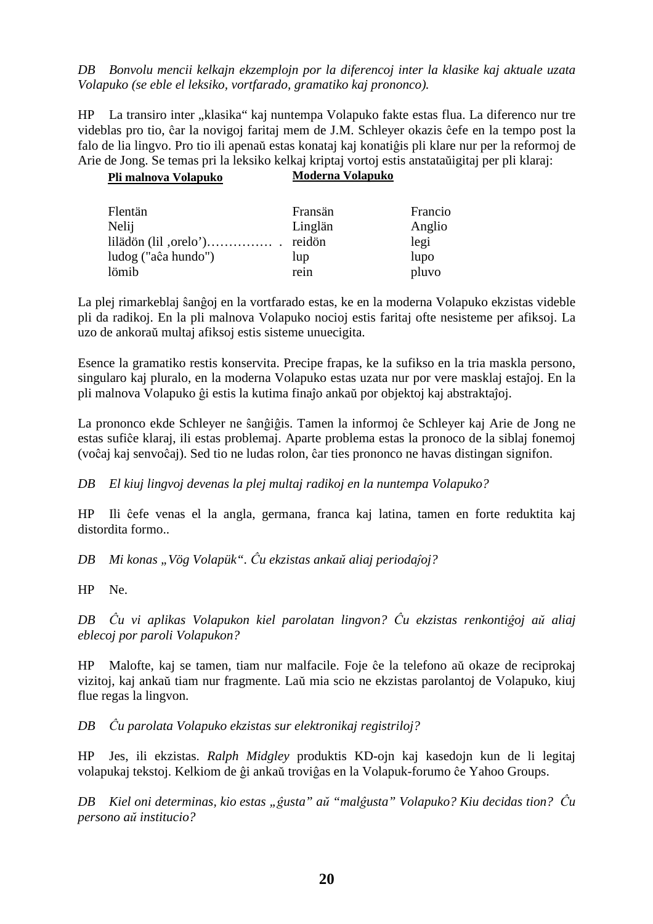*DB Bonvolu mencii kelkajn ekzemplojn por la diferencoj inter la klasike kaj aktuale uzata Volapuko (se eble el leksiko, vortfarado, gramatiko kaj prononco).* 

HP La transiro inter "klasika" kaj nuntempa Volapuko fakte estas flua. La diferenco nur tre videblas pro tio, ĉar la novigoj faritaj mem de J.M. Schleyer okazis ĉefe en la tempo post la falo de lia lingvo. Pro tio ili apenaŭ estas konataj kaj konatiĝis pli klare nur per la reformoj de Arie de Jong. Se temas pri la leksiko kelkaj kriptaj vortoj estis anstataŭigitaj per pli klaraj:

| Pli malnova Volapuko | Moderna Volapuko |         |
|----------------------|------------------|---------|
| Flentän              | Fransän          | Francio |
| Nelij                | Linglän          | Anglio  |
|                      | reidön           | legi    |
| ludog ("aĉa hundo")  | lup              | lupo    |
| lömib                | rein             | pluvo   |

La plej rimarkeblaj ŝanĝoj en la vortfarado estas, ke en la moderna Volapuko ekzistas videble pli da radikoj. En la pli malnova Volapuko nocioj estis faritaj ofte nesisteme per afiksoj. La uzo de ankoraŭ multaj afiksoj estis sisteme unuecigita.

Esence la gramatiko restis konservita. Precipe frapas, ke la sufikso en la tria maskla persono, singularo kaj pluralo, en la moderna Volapuko estas uzata nur por vere masklaj estaĵoj. En la pli malnova Volapuko ĝi estis la kutima finaĵo ankaŭ por objektoj kaj abstraktaĵoj.

La prononco ekde Schleyer ne ŝanĝiĝis. Tamen la informoj ĉe Schleyer kaj Arie de Jong ne estas sufiĉe klaraj, ili estas problemaj. Aparte problema estas la pronoco de la siblaj fonemoj (voĉaj kaj senvoĉaj). Sed tio ne ludas rolon, ĉar ties prononco ne havas distingan signifon.

*DB El kiuj lingvoj devenas la plej multaj radikoj en la nuntempa Volapuko?* 

HP Ili ĉefe venas el la angla, germana, franca kaj latina, tamen en forte reduktita kaj distordita formo..

*DB Mi konas "Vög Volapük". Ĉu ekzistas ankaŭ aliaj periodaĵoj?*

HP Ne.

*DB Ĉu vi aplikas Volapukon kiel parolatan lingvon? Ĉu ekzistas renkontiĝoj aŭ aliaj eblecoj por paroli Volapukon?* 

HP Malofte, kaj se tamen, tiam nur malfacile. Foje ĉe la telefono aŭ okaze de reciprokaj vizitoj, kaj ankaŭ tiam nur fragmente. Laŭ mia scio ne ekzistas parolantoj de Volapuko, kiuj flue regas la lingvon.

*DB Ĉu parolata Volapuko ekzistas sur elektronikaj registriloj?* 

HP Jes, ili ekzistas. *Ralph Midgley* produktis KD-ojn kaj kasedojn kun de li legitaj volapukaj tekstoj. Kelkiom de ĝi ankaŭ troviĝas en la Volapuk-forumo ĉe Yahoo Groups.

*DB Kiel oni determinas, kio estas "ĝusta" aŭ "malĝusta" Volapuko? Kiu decidas tion? Ĉu persono aŭ institucio?*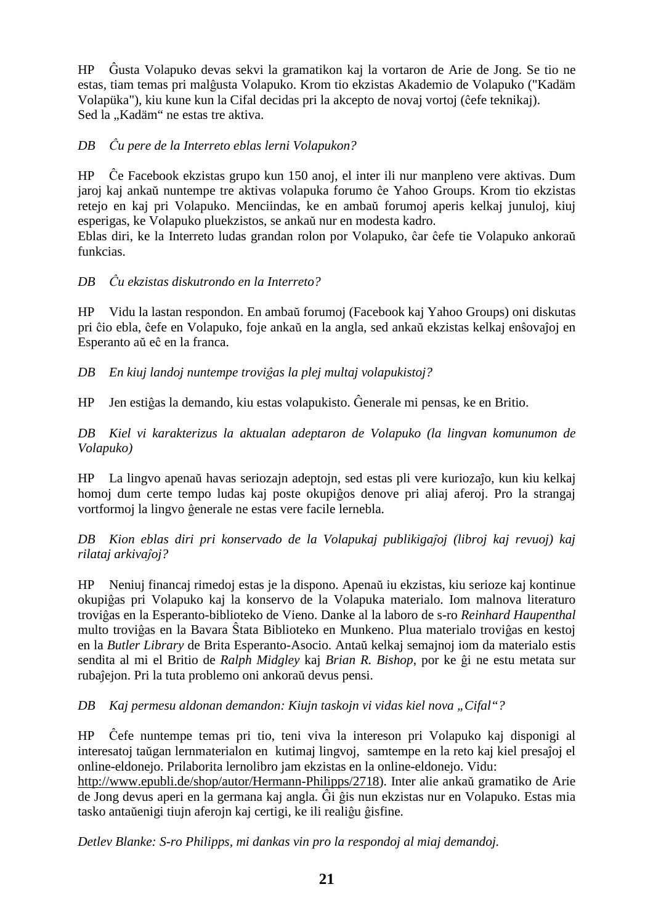HP Ĝusta Volapuko devas sekvi la gramatikon kaj la vortaron de Arie de Jong. Se tio ne estas, tiam temas pri malĝusta Volapuko. Krom tio ekzistas Akademio de Volapuko ("Kadäm Volapüka"), kiu kune kun la Cifal decidas pri la akcepto de novaj vortoj (ĉefe teknikaj). Sed la "Kadäm" ne estas tre aktiva.

#### *DB Ĉu pere de la Interreto eblas lerni Volapukon?*

HP Ĉe Facebook ekzistas grupo kun 150 anoj, el inter ili nur manpleno vere aktivas. Dum jaroj kaj ankaŭ nuntempe tre aktivas volapuka forumo ĉe Yahoo Groups. Krom tio ekzistas retejo en kaj pri Volapuko. Menciindas, ke en ambaŭ forumoj aperis kelkaj junuloj, kiuj esperigas, ke Volapuko pluekzistos, se ankaŭ nur en modesta kadro.

Eblas diri, ke la Interreto ludas grandan rolon por Volapuko, ĉar ĉefe tie Volapuko ankoraŭ funkcias.

#### *DB Ĉu ekzistas diskutrondo en la Interreto?*

HP Vidu la lastan respondon. En ambaŭ forumoj (Facebook kaj Yahoo Groups) oni diskutas pri ĉio ebla, ĉefe en Volapuko, foje ankaŭ en la angla, sed ankaŭ ekzistas kelkaj enŝovaĵoj en Esperanto aŭ eĉ en la franca.

*DB En kiuj landoj nuntempe troviĝas la plej multaj volapukistoj?* 

HP Jen estiĝas la demando, kiu estas volapukisto. Ĝenerale mi pensas, ke en Britio.

*DB Kiel vi karakterizus la aktualan adeptaron de Volapuko (la lingvan komunumon de Volapuko)* 

HP La lingvo apenaŭ havas seriozajn adeptojn, sed estas pli vere kuriozaĵo, kun kiu kelkaj homoj dum certe tempo ludas kaj poste okupiĝos denove pri aliaj aferoj. Pro la strangaj vortformoj la lingvo ĝenerale ne estas vere facile lernebla.

*DB Kion eblas diri pri konservado de la Volapukaj publikigaĵoj (libroj kaj revuoj) kaj rilataj arkivaĵoj?* 

HP Neniuj financaj rimedoj estas je la dispono. Apenaŭ iu ekzistas, kiu serioze kaj kontinue okupiĝas pri Volapuko kaj la konservo de la Volapuka materialo. Iom malnova literaturo troviĝas en la Esperanto-biblioteko de Vieno. Danke al la laboro de s-ro *Reinhard Haupenthal* multo troviĝas en la Bavara Ŝtata Biblioteko en Munkeno. Plua materialo troviĝas en kestoj en la *Butler Library* de Brita Esperanto-Asocio. Antaŭ kelkaj semajnoj iom da materialo estis sendita al mi el Britio de *Ralph Midgley* kaj *Brian R. Bishop*, por ke ĝi ne estu metata sur rubaĵejon. Pri la tuta problemo oni ankoraŭ devus pensi.

*DB Kaj permesu aldonan demandon: Kiujn taskojn vi vidas kiel nova "Cifal"?* 

HP Ĉefe nuntempe temas pri tio, teni viva la intereson pri Volapuko kaj disponigi al interesatoj taŭgan lernmaterialon en kutimaj lingvoj, samtempe en la reto kaj kiel presaĵoj el online-eldonejo. Prilaborita lernolibro jam ekzistas en la online-eldonejo. Vidu:

http://www.epubli.de/shop/autor/Hermann-Philipps/2718). Inter alie ankaŭ gramatiko de Arie de Jong devus aperi en la germana kaj angla. Ĝi ĝis nun ekzistas nur en Volapuko. Estas mia tasko antaŭenigi tiujn aferojn kaj certigi, ke ili realiĝu ĝisfine.

*Detlev Blanke: S-ro Philipps, mi dankas vin pro la respondoj al miaj demandoj.*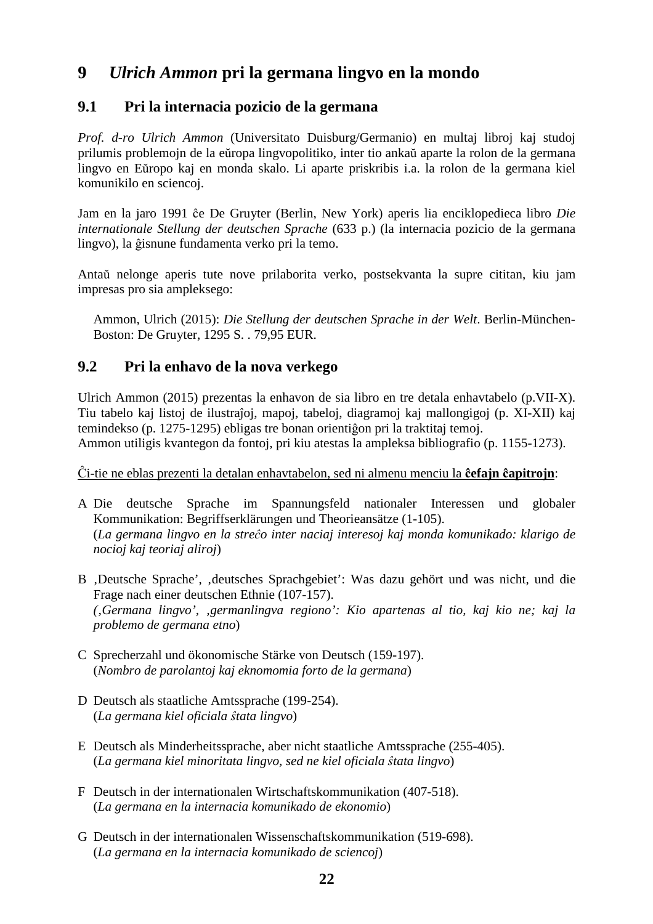# **9** *Ulrich Ammon* **pri la germana lingvo en la mondo**

### **9.1 Pri la internacia pozicio de la germana**

*Prof. d-ro Ulrich Ammon* (Universitato Duisburg/Germanio) en multaj libroj kaj studoj prilumis problemojn de la eŭropa lingvopolitiko, inter tio ankaŭ aparte la rolon de la germana lingvo en Eŭropo kaj en monda skalo. Li aparte priskribis i.a. la rolon de la germana kiel komunikilo en sciencoj.

Jam en la jaro 1991 ĉe De Gruyter (Berlin, New York) aperis lia enciklopedieca libro *Die internationale Stellung der deutschen Sprache* (633 p.) (la internacia pozicio de la germana lingvo), la ĝisnune fundamenta verko pri la temo.

Antaŭ nelonge aperis tute nove prilaborita verko, postsekvanta la supre cititan, kiu jam impresas pro sia ampleksego:

 Ammon, Ulrich (2015): *Die Stellung der deutschen Sprache in der Welt*. Berlin-München- Boston: De Gruyter, 1295 S. . 79,95 EUR.

### **9.2 Pri la enhavo de la nova verkego**

Ulrich Ammon (2015) prezentas la enhavon de sia libro en tre detala enhavtabelo (p.VII-X). Tiu tabelo kaj listoj de ilustraĵoj, mapoj, tabeloj, diagramoj kaj mallongigoj (p. XI-XII) kaj temindekso (p. 1275-1295) ebligas tre bonan orientiĝon pri la traktitaj temoj. Ammon utiligis kvantegon da fontoj, pri kiu atestas la ampleksa bibliografio (p. 1155-1273).

Ĉi-tie ne eblas prezenti la detalan enhavtabelon, sed ni almenu menciu la **ĉefajn ĉapitrojn**:

- A Die deutsche Sprache im Spannungsfeld nationaler Interessen und globaler Kommunikation: Begriffserklärungen und Theorieansätze (1-105). (*La germana lingvo en la streĉo inter naciaj interesoj kaj monda komunikado: klarigo de nocioj kaj teoriaj aliroj*)
- B , Deutsche Sprache', deutsches Sprachgebiet': Was dazu gehört und was nicht, und die Frage nach einer deutschen Ethnie (107-157). *('Germana lingvo', 'germanlingva regiono': Kio apartenas al tio, kaj kio ne; kaj la problemo de germana etno*)
- C Sprecherzahl und ökonomische Stärke von Deutsch (159-197). (*Nombro de parolantoj kaj eknomomia forto de la germana*)
- D Deutsch als staatliche Amtssprache (199-254). (*La germana kiel oficiala ŝtata lingvo*)
- E Deutsch als Minderheitssprache, aber nicht staatliche Amtssprache (255-405). (*La germana kiel minoritata lingvo, sed ne kiel oficiala ŝtata lingvo*)
- F Deutsch in der internationalen Wirtschaftskommunikation (407-518). (*La germana en la internacia komunikado de ekonomio*)
- G Deutsch in der internationalen Wissenschaftskommunikation (519-698). (*La germana en la internacia komunikado de sciencoj*)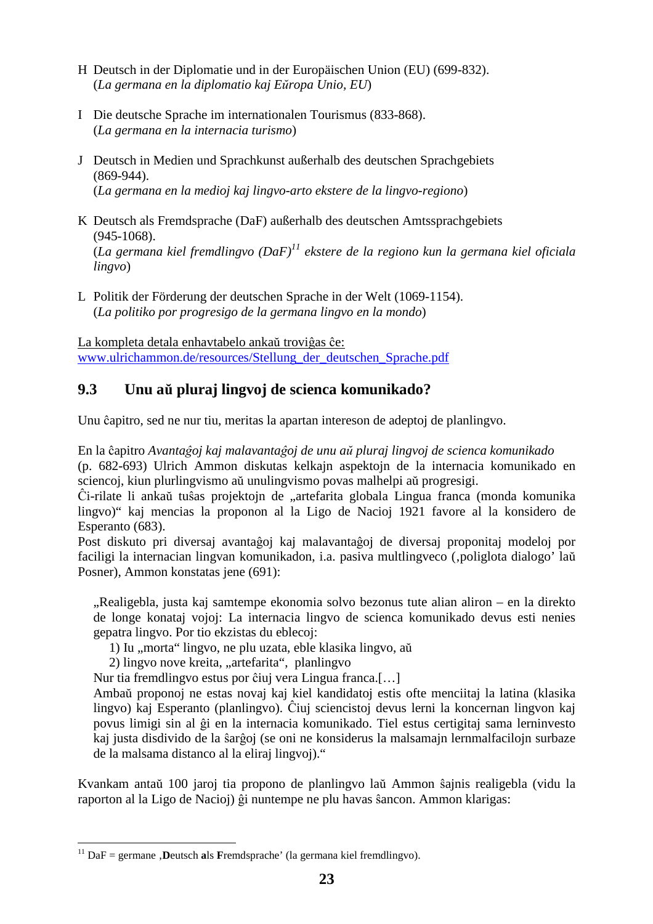- H Deutsch in der Diplomatie und in der Europäischen Union (EU) (699-832). (*La germana en la diplomatio kaj Eŭropa Unio, EU*)
- I Die deutsche Sprache im internationalen Tourismus (833-868). (*La germana en la internacia turismo*)
- J Deutsch in Medien und Sprachkunst außerhalb des deutschen Sprachgebiets (869-944). (*La germana en la medioj kaj lingvo-arto ekstere de la lingvo-regiono*)
- K Deutsch als Fremdsprache (DaF) außerhalb des deutschen Amtssprachgebiets (945-1068). (*La germana kiel fremdlingvo (DaF)<sup>11</sup> ekstere de la regiono kun la germana kiel oficiala*
- L Politik der Förderung der deutschen Sprache in der Welt (1069-1154).

(*La politiko por progresigo de la germana lingvo en la mondo*)

 *lingvo*)

 $\overline{a}$ 

La kompleta detala enhavtabelo ankaŭ troviĝas ĉe: www.ulrichammon.de/resources/Stellung\_der\_deutschen\_Sprache.pdf

## **9.3 Unu aŭ pluraj lingvoj de scienca komunikado?**

Unu ĉapitro, sed ne nur tiu, meritas la apartan intereson de adeptoj de planlingvo.

En la ĉapitro *Avantaĝoj kaj malavantaĝoj de unu aŭ pluraj lingvoj de scienca komunikado* (p. 682-693) Ulrich Ammon diskutas kelkajn aspektojn de la internacia komunikado en sciencoj, kiun plurlingvismo aŭ unulingvismo povas malhelpi aŭ progresigi.

Ĉi-rilate li ankaŭ tuŝas projektojn de "artefarita globala Lingua franca (monda komunika lingvo)" kaj mencias la proponon al la Ligo de Nacioj 1921 favore al la konsidero de Esperanto (683).

Post diskuto pri diversaj avantaĝoj kaj malavantaĝoj de diversaj proponitaj modeloj por faciligi la internacian lingvan komunikadon, i.a. pasiva multlingveco (,poliglota dialogo' laŭ Posner), Ammon konstatas jene (691):

"Realigebla, justa kaj samtempe ekonomia solvo bezonus tute alian aliron – en la direkto de longe konataj vojoj: La internacia lingvo de scienca komunikado devus esti nenies gepatra lingvo. Por tio ekzistas du eblecoj:

1) Iu "morta" lingvo, ne plu uzata, eble klasika lingvo, aŭ

2) lingvo nove kreita, "artefarita", planlingvo

Nur tia fremdlingvo estus por ĉiuj vera Lingua franca.[…]

 Ambaŭ proponoj ne estas novaj kaj kiel kandidatoj estis ofte menciitaj la latina (klasika lingvo) kaj Esperanto (planlingvo). Ĉiuj sciencistoj devus lerni la koncernan lingvon kaj povus limigi sin al ĝi en la internacia komunikado. Tiel estus certigitaj sama lerninvesto kaj justa disdivido de la ŝarĝoj (se oni ne konsiderus la malsamajn lernmalfacilojn surbaze de la malsama distanco al la eliraj lingvoj)."

Kvankam antaŭ 100 jaroj tia propono de planlingvo laŭ Ammon ŝajnis realigebla (vidu la raporton al la Ligo de Nacioj) ĝi nuntempe ne plu havas ŝancon. Ammon klarigas:

<sup>&</sup>lt;sup>11</sup> DaF = germane , **D**eutsch als **F**remdsprache' (la germana kiel fremdlingvo).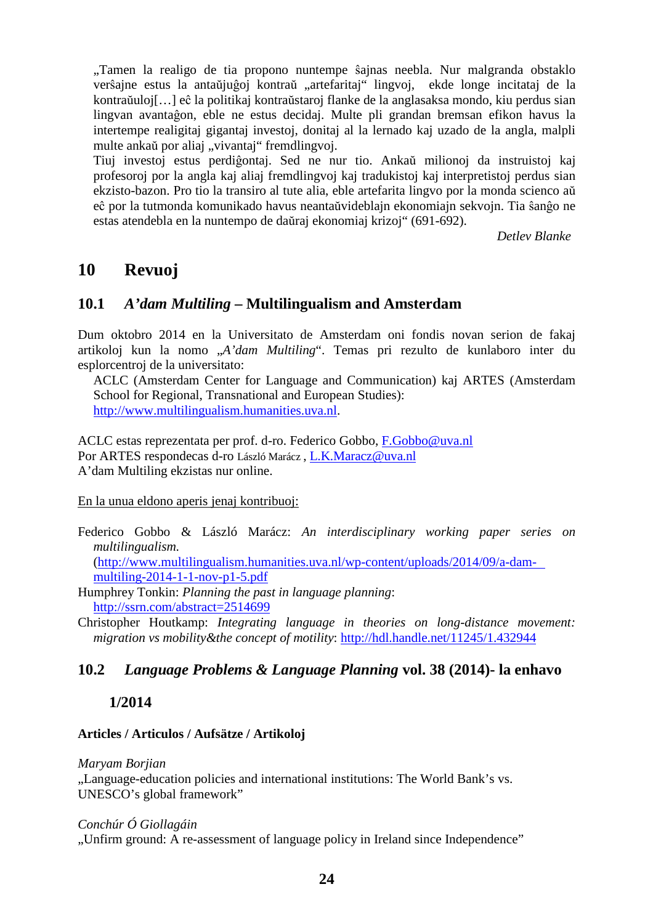"Tamen la realigo de tia propono nuntempe ŝajnas neebla. Nur malgranda obstaklo verŝajne estus la antaŭjuĝoj kontraŭ "artefaritaj" lingvoj, ekde longe incitataj de la kontraŭuloj[…] eĉ la politikaj kontraŭstaroj flanke de la anglasaksa mondo, kiu perdus sian lingvan avantaĝon, eble ne estus decidaj. Multe pli grandan bremsan efikon havus la intertempe realigitaj gigantaj investoj, donitaj al la lernado kaj uzado de la angla, malpli multe ankaŭ por aliaj "vivantaj" fremdlingvoj.

 Tiuj investoj estus perdiĝontaj. Sed ne nur tio. Ankaŭ milionoj da instruistoj kaj profesoroj por la angla kaj aliaj fremdlingvoj kaj tradukistoj kaj interpretistoj perdus sian ekzisto-bazon. Pro tio la transiro al tute alia, eble artefarita lingvo por la monda scienco aŭ eĉ por la tutmonda komunikado havus neantaŭvideblajn ekonomiajn sekvojn. Tia ŝanĝo ne estas atendebla en la nuntempo de daŭraj ekonomiaj krizoj" (691-692).

*Detlev Blanke* 

## **10 Revuoj**

### **10.1** *A'dam Multiling* **– Multilingualism and Amsterdam**

Dum oktobro 2014 en la Universitato de Amsterdam oni fondis novan serion de fakaj artikoloj kun la nomo "*A'dam Multiling*". Temas pri rezulto de kunlaboro inter du esplorcentroj de la universitato:

 ACLC (Amsterdam Center for Language and Communication) kaj ARTES (Amsterdam School for Regional, Transnational and European Studies): http://www.multilingualism.humanities.uva.nl.

ACLC estas reprezentata per prof. d-ro. Federico Gobbo, F.Gobbo@uva.nl Por ARTES respondecas d-ro László Marácz , L.K.Maracz@uva.nl A'dam Multiling ekzistas nur online.

#### En la unua eldono aperis jenaj kontribuoj:

Federico Gobbo & László Marácz: *An interdisciplinary working paper series on multilingualism.*

 (http://www.multilingualism.humanities.uva.nl/wp-content/uploads/2014/09/a-dam multiling-2014-1-1-nov-p1-5.pdf

Humphrey Tonkin: *Planning the past in language planning*: http://ssrn.com/abstract=2514699

Christopher Houtkamp: *Integrating language in theories on long-distance movement: migration vs mobility&the concept of motility*: http://hdl.handle.net/11245/1.432944

### **10.2** *Language Problems & Language Planning* **vol. 38 (2014)- la enhavo**

### **1/2014**

#### **Articles / Articulos / Aufsätze / Artikoloj**

#### *Maryam Borjian*

"Language-education policies and international institutions: The World Bank's vs. UNESCO's global framework"

*Conchúr Ó Giollagáin* 

"Unfirm ground: A re-assessment of language policy in Ireland since Independence"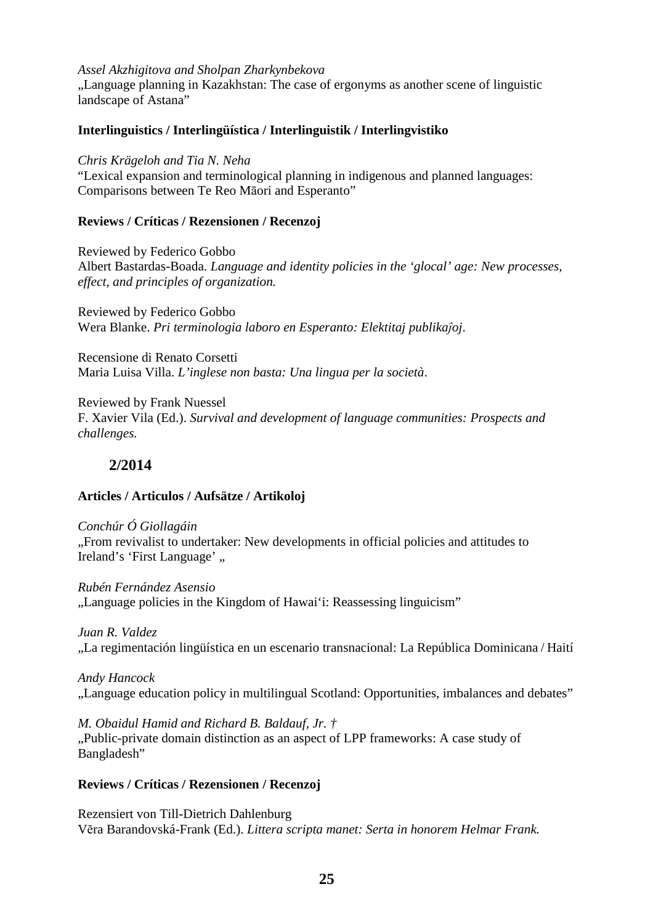#### *Assel Akzhigitova and Sholpan Zharkynbekova*

"Language planning in Kazakhstan: The case of ergonyms as another scene of linguistic landscape of Astana"

#### **Interlinguistics / Interlingüística / Interlinguistik / Interlingvistiko**

*Chris Krägeloh and Tia N. Neha* 

"Lexical expansion and terminological planning in indigenous and planned languages: Comparisons between Te Reo Māori and Esperanto"

#### **Reviews / Críticas / Rezensionen / Recenzoj**

Reviewed by Federico Gobbo Albert Bastardas-Boada. *Language and identity policies in the 'glocal' age: New processes, effect, and principles of organization.*

Reviewed by Federico Gobbo Wera Blanke. *Pri terminologia laboro en Esperanto: Elektitaj publikaĵoj*.

Recensione di Renato Corsetti Maria Luisa Villa. *L'inglese non basta: Una lingua per la società*.

Reviewed by Frank Nuessel F. Xavier Vila (Ed.). *Survival and development of language communities: Prospects and challenges.*

### **2/2014**

#### **Articles / Articulos / Aufsätze / Artikoloj**

*Conchúr Ó Giollagáin*  "From revivalist to undertaker: New developments in official policies and attitudes to Ireland's 'First Language',

*Rubén Fernández Asensio*  "Language policies in the Kingdom of Hawai'i: Reassessing linguicism"

*Juan R. Valdez*  "La regimentación lingüística en un escenario transnacional: La República Dominicana / Haití

*Andy Hancock*  "Language education policy in multilingual Scotland: Opportunities, imbalances and debates"

*M. Obaidul Hamid and Richard B. Baldauf, Jr. †* 

"Public-private domain distinction as an aspect of LPP frameworks: A case study of Bangladesh"

#### **Reviews / Críticas / Rezensionen / Recenzoj**

Rezensiert von Till-Dietrich Dahlenburg Vĕra Barandovská-Frank (Ed.). *Littera scripta manet: Serta in honorem Helmar Frank.*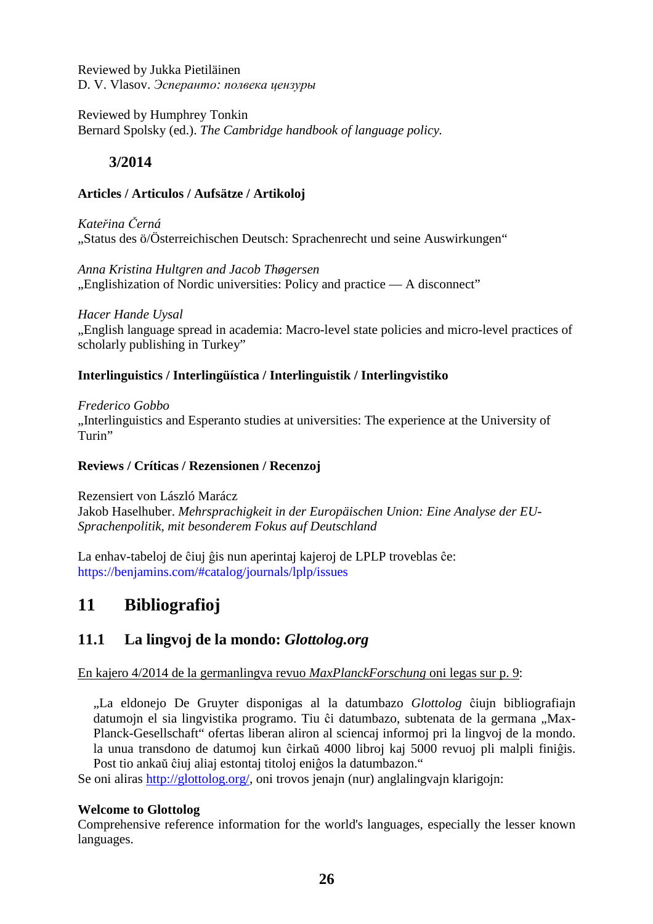Reviewed by Jukka Pietiläinen D. V. Vlasov. *Эсперанто: полвека цензуры*

Reviewed by Humphrey Tonkin Bernard Spolsky (ed.). *The Cambridge handbook of language policy.*

### **3/2014**

#### **Articles / Articulos / Aufsätze / Artikoloj**

*Kateřina Černá*  "Status des ö/Österreichischen Deutsch: Sprachenrecht und seine Auswirkungen"

*Anna Kristina Hultgren and Jacob Thøgersen*  ". Englishization of Nordic universities: Policy and practice — A disconnect"

*Hacer Hande Uysal*  "English language spread in academia: Macro-level state policies and micro-level practices of scholarly publishing in Turkey"

#### **Interlinguistics / Interlingüística / Interlinguistik / Interlingvistiko**

*Frederico Gobbo*  "Interlinguistics and Esperanto studies at universities: The experience at the University of Turin"

#### **Reviews / Críticas / Rezensionen / Recenzoj**

Rezensiert von László Marácz Jakob Haselhuber. *Mehrsprachigkeit in der Europäischen Union: Eine Analyse der EU-Sprachenpolitik, mit besonderem Fokus auf Deutschland*

La enhav-tabeloj de ĉiuj ĝis nun aperintaj kajeroj de LPLP troveblas ĉe: https://benjamins.com/#catalog/journals/lplp/issues

# **11 Bibliografioj**

## **11 .1 La lingvoj de la mondo:** *Glottolog.org*

En kajero 4/2014 de la germanlingva revuo *MaxPlanckForschung* oni legas sur p. 9:

 "La eldonejo De Gruyter disponigas al la datumbazo *Glottolog* ĉiujn bibliografiajn datumojn el sia lingvistika programo. Tiu ĉi datumbazo, subtenata de la germana "Max- Planck-Gesellschaft" ofertas liberan aliron al sciencaj informoj pri la lingvoj de la mondo. la unua transdono de datumoj kun ĉirkaŭ 4000 libroj kaj 5000 revuoj pli malpli finiĝis. Post tio ankaŭ ĉiuj aliaj estontaj titoloj eniĝos la datumbazon."

Se oni aliras http://glottolog.org/, oni trovos jenajn (nur) anglalingvajn klarigojn:

#### **Welcome to Glottolog**

Comprehensive reference information for the world's languages, especially the lesser known languages.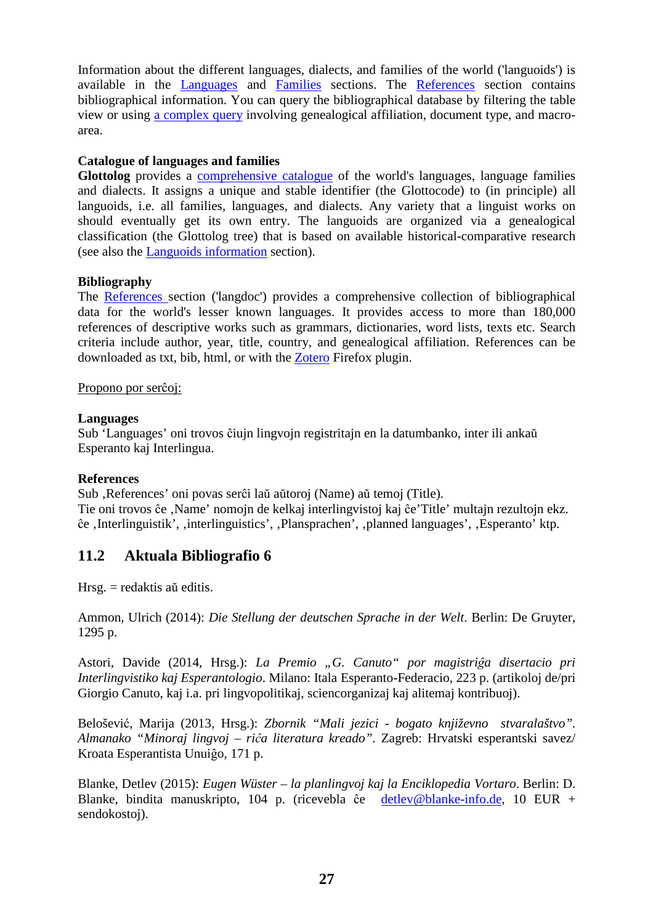Information about the different languages, dialects, and families of the world ('languoids') is available in the Languages and Families sections. The References section contains bibliographical information. You can query the bibliographical database by filtering the table view or using a complex query involving genealogical affiliation, document type, and macroarea.

#### **Catalogue of languages and families**

**Glottolog** provides a comprehensive catalogue of the world's languages, language families and dialects. It assigns a unique and stable identifier (the Glottocode) to (in principle) all languoids, i.e. all families, languages, and dialects. Any variety that a linguist works on should eventually get its own entry. The languoids are organized via a genealogical classification (the Glottolog tree) that is based on available historical-comparative research (see also the Languoids information section).

#### **Bibliography**

The References section ('langdoc') provides a comprehensive collection of bibliographical data for the world's lesser known languages. It provides access to more than 180,000 references of descriptive works such as grammars, dictionaries, word lists, texts etc. Search criteria include author, year, title, country, and genealogical affiliation. References can be downloaded as txt, bib, html, or with the Zotero Firefox plugin.

#### Propono por serĉoj:

#### **Languages**

Sub 'Languages' oni trovos ĉiujn lingvojn registritajn en la datumbanko, inter ili ankaŭ Esperanto kaj Interlingua.

#### **References**

Sub , References' oni povas serĉi laŭ aŭtoroj (Name) aŭ temoj (Title). Tie oni trovos ĉe , Name' nomojn de kelkaj interlingvistoj kaj ĉe 'Title' multajn rezultojn ekz. ĉe ,Interlinguistik', ,interlinguistics', ,Plansprachen', ,planned languages', ,Esperanto' ktp.

### **11.2 Aktuala Bibliografio 6**

Hrsg. = redaktis aŭ editis.

Ammon, Ulrich (2014): *Die Stellung der deutschen Sprache in der Welt*. Berlin: De Gruyter, 1295 p.

Astori, Davide (2014, Hrsg.): *La Premio "G. Canuto" por magistriĝa disertacio pri Interlingvistiko kaj Esperantologio*. Milano: Itala Esperanto-Federacio, 223 p. (artikoloj de/pri Giorgio Canuto, kaj i.a. pri lingvopolitikaj, sciencorganizaj kaj alitemaj kontribuoj).

Belošević, Marija (2013, Hrsg.): *Zbornik "Mali jezici - bogato književno stvaralaštvo". Almanako "Minoraj lingvoj – riĉa literatura kreado".* Zagreb: Hrvatski esperantski savez/ Kroata Esperantista Unuiĝo, 171 p.

Blanke, Detlev (2015): *Eugen Wüster – la planlingvoj kaj la Enciklopedia Vortaro*. Berlin: D. Blanke, bindita manuskripto, 104 p. (ricevebla ĉe detlev@blanke-info.de, 10 EUR + sendokostoj).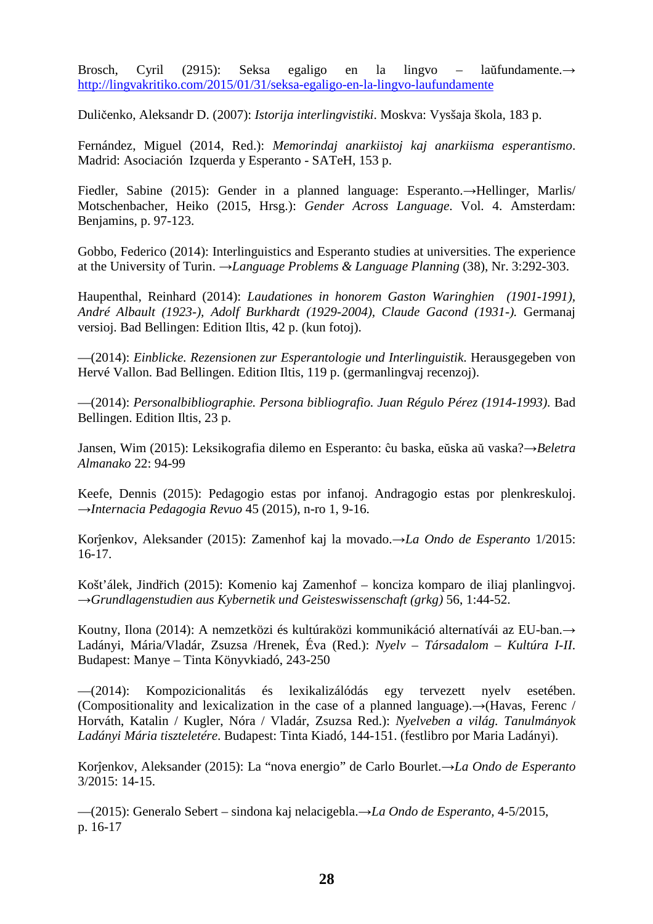Brosch, Cyril (2915): Seksa egaligo en la lingvo – laŭfundamente.→ http://lingvakritiko.com/2015/01/31/seksa-egaligo-en-la-lingvo-laufundamente

Duličenko, Aleksandr D. (2007): *Istorija interlingvistiki*. Moskva: Vysšaja škola, 183 p.

Fernández, Miguel (2014, Red.): *Memorindaj anarkiistoj kaj anarkiisma esperantismo*. Madrid: Asociación Izquerda y Esperanto - SATeH, 153 p.

Fiedler, Sabine (2015): Gender in a planned language: Esperanto.→Hellinger, Marlis/ Motschenbacher, Heiko (2015, Hrsg.): *Gender Across Language*. Vol. 4. Amsterdam: Benjamins, p. 97-123.

Gobbo, Federico (2014): Interlinguistics and Esperanto studies at universities. The experience at the University of Turin. →*Language Problems & Language Planning* (38), Nr. 3:292-303.

Haupenthal, Reinhard (2014): *Laudationes in honorem Gaston Waringhien (1901-1991), André Albault (1923-), Adolf Burkhardt (1929-2004), Claude Gacond (1931-).* Germanaj versioj. Bad Bellingen: Edition Iltis, 42 p. (kun fotoj).

—(2014): *Einblicke. Rezensionen zur Esperantologie und Interlinguistik*. Herausgegeben von Hervé Vallon. Bad Bellingen. Edition Iltis, 119 p. (germanlingvaj recenzoj).

—(2014): *Personalbibliographie. Persona bibliografio. Juan Régulo Pérez (1914-1993)*. Bad Bellingen. Edition Iltis, 23 p.

Jansen, Wim (2015): Leksikografia dilemo en Esperanto: ĉu baska, eŭska aŭ vaska?→*Beletra Almanako* 22: 94-99

Keefe, Dennis (2015): Pedagogio estas por infanoj. Andragogio estas por plenkreskuloj. →*Internacia Pedagogia Revuo* 45 (2015), n-ro 1, 9-16.

Korĵenkov, Aleksander (2015): Zamenhof kaj la movado.→*La Ondo de Esperanto* 1/2015: 16-17.

Košt'álek, Jindřich (2015): Komenio kaj Zamenhof – konciza komparo de iliaj planlingvoj. →*Grundlagenstudien aus Kybernetik und Geisteswissenschaft (grkg)* 56, 1:44-52.

Koutny, Ilona (2014): A nemzetközi és kultúraközi kommunikáció alternatívái az EU-ban.→ Ladányi, Mária/Vladár, Zsuzsa /Hrenek, Éva (Red.): *Nyelv – Társadalom – Kultúra I-II*. Budapest: Manye – Tinta Könyvkiadó, 243-250

—(2014): Kompozicionalitás és lexikalizálódás egy tervezett nyelv esetében. (Compositionality and lexicalization in the case of a planned language).→(Havas, Ferenc / Horváth, Katalin / Kugler, Nóra / Vladár, Zsuzsa Red.): *Nyelveben a világ. Tanulmányok Ladányi Mária tiszteletére*. Budapest: Tinta Kiadó, 144-151. (festlibro por Maria Ladányi).

Korĵenkov, Aleksander (2015): La "nova energio" de Carlo Bourlet.→*La Ondo de Esperanto* 3/2015: 14-15.

—(2015): Generalo Sebert – sindona kaj nelacigebla.→*La Ondo de Esperanto,* 4-5/2015, p. 16-17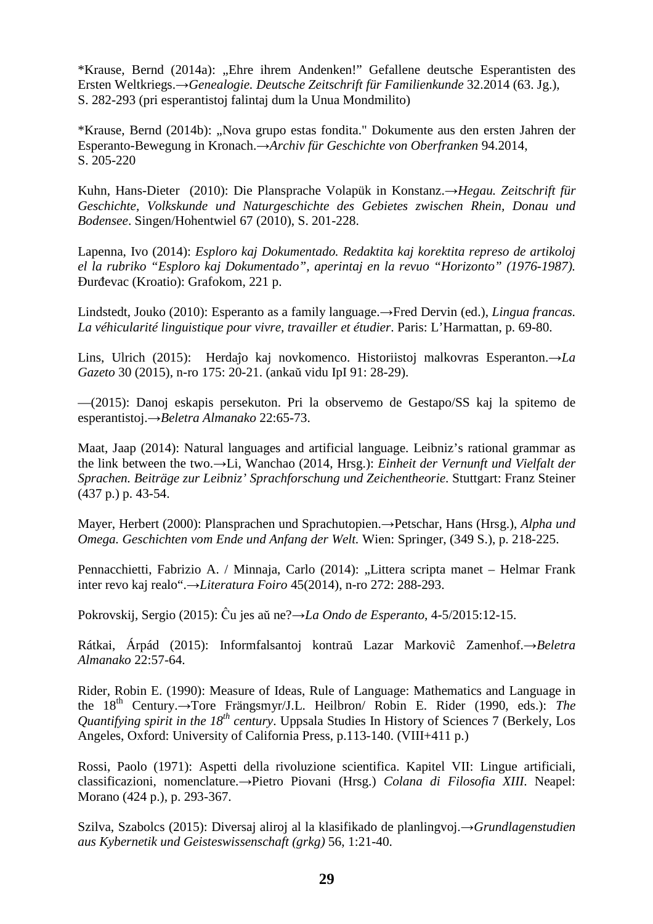\*Krause, Bernd (2014a): "Ehre ihrem Andenken!" Gefallene deutsche Esperantisten des Ersten Weltkriegs.→*Genealogie. Deutsche Zeitschrift für Familienkunde* 32.2014 (63. Jg.), S. 282-293 (pri esperantistoj falintaj dum la Unua Mondmilito)

\*Krause, Bernd (2014b): "Nova grupo estas fondita." Dokumente aus den ersten Jahren der Esperanto-Bewegung in Kronach.→*Archiv für Geschichte von Oberfranken* 94.2014, S. 205-220

Kuhn, Hans-Dieter (2010): Die Plansprache Volapük in Konstanz.→*Hegau. Zeitschrift für Geschichte, Volkskunde und Naturgeschichte des Gebietes zwischen Rhein, Donau und Bodensee*. Singen/Hohentwiel 67 (2010), S. 201-228.

Lapenna, Ivo (2014): *Esploro kaj Dokumentado. Redaktita kaj korektita represo de artikoloj el la rubriko "Esploro kaj Dokumentado", aperintaj en la revuo "Horizonto" (1976-1987).* Đurđevac (Kroatio): Grafokom, 221 p.

Lindstedt, Jouko (2010): Esperanto as a family language.→Fred Dervin (ed.), *Lingua francas. La véhicularité linguistique pour vivre, travailler et étudier*. Paris: L'Harmattan, p. 69-80.

Lins, Ulrich (2015): Herdaĵo kaj novkomenco. Historiistoj malkovras Esperanton.→*La Gazeto* 30 (2015), n-ro 175: 20-21. (ankaŭ vidu IpI 91: 28-29).

—(2015): Danoj eskapis persekuton. Pri la observemo de Gestapo/SS kaj la spitemo de esperantistoj.→*Beletra Almanako* 22:65-73.

Maat, Jaap (2014): Natural languages and artificial language. Leibniz's rational grammar as the link between the two.→Li, Wanchao (2014, Hrsg.): *Einheit der Vernunft und Vielfalt der Sprachen. Beiträge zur Leibniz' Sprachforschung und Zeichentheorie*. Stuttgart: Franz Steiner (437 p.) p. 43-54.

Mayer, Herbert (2000): Plansprachen und Sprachutopien.→Petschar, Hans (Hrsg.), *Alpha und Omega. Geschichten vom Ende und Anfang der Welt.* Wien: Springer, (349 S.), p. 218-225.

Pennacchietti, Fabrizio A. / Minnaja, Carlo (2014): "Littera scripta manet – Helmar Frank inter revo kaj realo".→*Literatura Foiro* 45(2014), n-ro 272: 288-293.

Pokrovskij, Sergio (2015): Ĉu jes aŭ ne?→*La Ondo de Esperanto*, 4-5/2015:12-15.

Rátkai, Árpád (2015): Informfalsantoj kontraŭ Lazar Markoviĉ Zamenhof.→*Beletra Almanako* 22:57-64.

Rider, Robin E. (1990): Measure of Ideas, Rule of Language: Mathematics and Language in the 18th Century.→Tore Frängsmyr/J.L. Heilbron/ Robin E. Rider (1990, eds.): *The Quantifying spirit in the 18<sup>th</sup> century*. Uppsala Studies In History of Sciences 7 (Berkely, Los Angeles, Oxford: University of California Press, p.113-140. (VIII+411 p.)

Rossi, Paolo (1971): Aspetti della rivoluzione scientifica. Kapitel VII: Lingue artificiali, classificazioni, nomenclature.→Pietro Piovani (Hrsg.) *Colana di Filosofia XIII*. Neapel: Morano (424 p.), p. 293-367.

Szilva, Szabolcs (2015): Diversaj aliroj al la klasifikado de planlingvoj.→*Grundlagenstudien aus Kybernetik und Geisteswissenschaft (grkg)* 56, 1:21-40.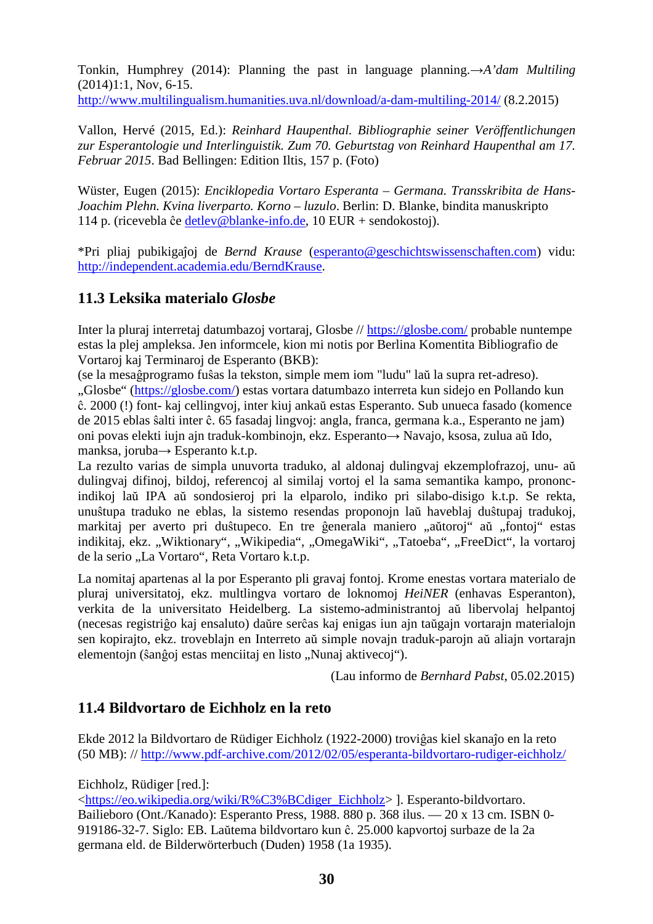Tonkin, Humphrey (2014): Planning the past in language planning.→*A'dam Multiling* (2014)1:1, Nov, 6-15.

http://www.multilingualism.humanities.uva.nl/download/a-dam-multiling-2014/ (8.2.2015)

Vallon, Hervé (2015, Ed.): *Reinhard Haupenthal. Bibliographie seiner Veröffentlichungen zur Esperantologie und Interlinguistik. Zum 70. Geburtstag von Reinhard Haupenthal am 17. Februar 2015*. Bad Bellingen: Edition Iltis, 157 p. (Foto)

Wüster, Eugen (2015): *Enciklopedia Vortaro Esperanta – Germana. Transskribita de Hans-Joachim Plehn. Kvina liverparto. Korno – luzulo*. Berlin: D. Blanke, bindita manuskripto 114 p. (ricevebla ĉe detlev@blanke-info.de, 10 EUR + sendokostoj).

\*Pri pliaj pubikigaĵoj de *Bernd Krause* (esperanto@geschichtswissenschaften.com) vidu: http://independent.academia.edu/BerndKrause.

## **11.3 Leksika materialo** *Glosbe*

Inter la pluraj interretaj datumbazoj vortaraj, Glosbe // https://glosbe.com/ probable nuntempe estas la plej ampleksa. Jen informcele, kion mi notis por Berlina Komentita Bibliografio de Vortaroj kaj Terminaroj de Esperanto (BKB):

(se la mesaĝprogramo fuŝas la tekston, simple mem iom "ludu" laŭ la supra ret-adreso). "Glosbe" (https://glosbe.com/) estas vortara datumbazo interreta kun sidejo en Pollando kun ĉ. 2000 (!) font- kaj cellingvoj, inter kiuj ankaŭ estas Esperanto. Sub unueca fasado (komence de 2015 eblas ŝalti inter ĉ. 65 fasadaj lingvoj: angla, franca, germana k.a., Esperanto ne jam) oni povas elekti iujn ajn traduk-kombinojn, ekz. Esperanto→ Navajo, ksosa, zulua aŭ Ido, manksa, joruba→ Esperanto k.t.p.

La rezulto varias de simpla unuvorta traduko, al aldonaj dulingvaj ekzemplofrazoj, unu- aŭ dulingvaj difinoj, bildoj, referencoj al similaj vortoj el la sama semantika kampo, prononcindikoj laŭ IPA aŭ sondosieroj pri la elparolo, indiko pri silabo-disigo k.t.p. Se rekta, unuŝtupa traduko ne eblas, la sistemo resendas proponojn laŭ haveblaj duŝtupaj tradukoj, markitaj per averto pri duŝtupeco. En tre ĝenerala maniero "aŭtoroj" aŭ "fontoj" estas indikitaj, ekz. "Wiktionary", "Wikipedia", "OmegaWiki", "Tatoeba", "FreeDict", la vortaroj de la serio "La Vortaro", Reta Vortaro k.t.p.

La nomitaj apartenas al la por Esperanto pli gravaj fontoj. Krome enestas vortara materialo de pluraj universitatoj, ekz. multlingva vortaro de loknomoj *HeiNER* (enhavas Esperanton), verkita de la universitato Heidelberg. La sistemo-administrantoj aŭ libervolaj helpantoj (necesas registriĝo kaj ensaluto) daŭre serĉas kaj enigas iun ajn taŭgajn vortarajn materialojn sen kopirajto, ekz. troveblajn en Interreto aŭ simple novajn traduk-parojn aŭ aliajn vortarajn elementojn (ŝanĝoj estas menciitaj en listo "Nunaj aktivecoj").

(Lau informo de *Bernhard Pabst*, 05.02.2015)

### **11.4 Bildvortaro de Eichholz en la reto**

Ekde 2012 la Bildvortaro de Rüdiger Eichholz (1922-2000) troviĝas kiel skanaĵo en la reto (50 MB): // http://www.pdf-archive.com/2012/02/05/esperanta-bildvortaro-rudiger-eichholz/

Eichholz, Rüdiger [red.]:

<https://eo.wikipedia.org/wiki/R%C3%BCdiger\_Eichholz> ]. Esperanto-bildvortaro. Bailieboro (Ont./Kanado): Esperanto Press, 1988. 880 p. 368 ilus. — 20 x 13 cm. ISBN 0- 919186-32-7. Siglo: EB. Laŭtema bildvortaro kun ĉ. 25.000 kapvortoj surbaze de la 2a germana eld. de Bilderwörterbuch (Duden) 1958 (1a 1935).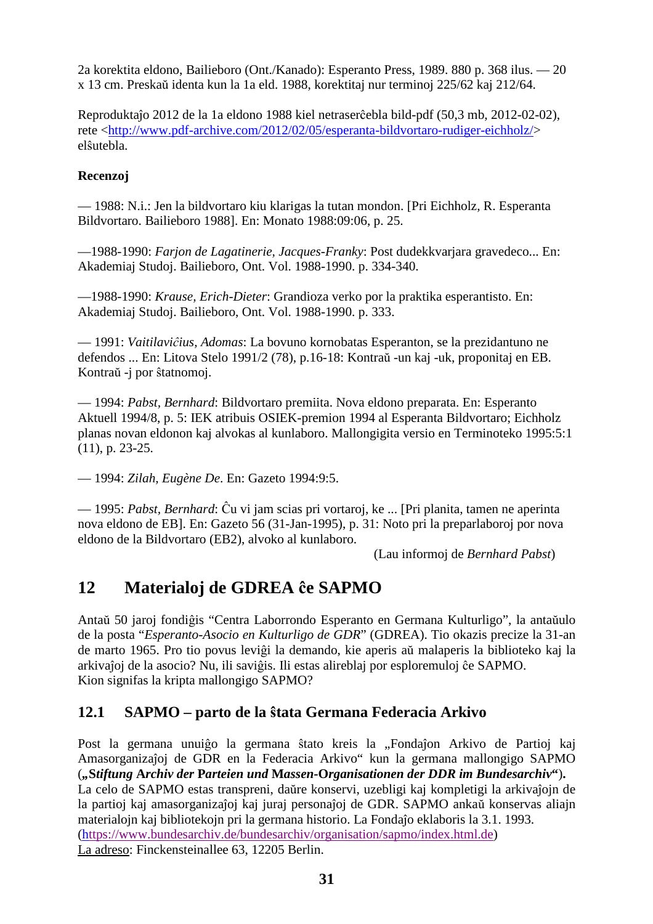2a korektita eldono, Bailieboro (Ont./Kanado): Esperanto Press, 1989. 880 p. 368 ilus. — 20 x 13 cm. Preskaŭ identa kun la 1a eld. 1988, korektitaj nur terminoj 225/62 kaj 212/64.

Reproduktaĵo 2012 de la 1a eldono 1988 kiel netraserĉebla bild-pdf (50,3 mb, 2012-02-02), rete <http://www.pdf-archive.com/2012/02/05/esperanta-bildvortaro-rudiger-eichholz/> elŝutebla.

#### **Recenzoj**

— 1988: N.i.: Jen la bildvortaro kiu klarigas la tutan mondon. [Pri Eichholz, R. Esperanta Bildvortaro. Bailieboro 1988]. En: Monato 1988:09:06, p. 25.

—1988-1990: *Farjon de Lagatinerie, Jacques-Franky*: Post dudekkvarjara gravedeco... En: Akademiaj Studoj. Bailieboro, Ont. Vol. 1988-1990. p. 334-340.

—1988-1990: *Krause, Erich-Dieter*: Grandioza verko por la praktika esperantisto. En: Akademiaj Studoj. Bailieboro, Ont. Vol. 1988-1990. p. 333.

— 1991: *Vaitilaviĉius, Adomas*: La bovuno kornobatas Esperanton, se la prezidantuno ne defendos ... En: Litova Stelo 1991/2 (78), p.16-18: Kontraŭ -un kaj -uk, proponitaj en EB. Kontraŭ -j por ŝtatnomoj.

— 1994: *Pabst, Bernhard*: Bildvortaro premiita. Nova eldono preparata. En: Esperanto Aktuell 1994/8, p. 5: IEK atribuis OSIEK-premion 1994 al Esperanta Bildvortaro; Eichholz planas novan eldonon kaj alvokas al kunlaboro. Mallongigita versio en Terminoteko 1995:5:1 (11), p. 23-25.

— 1994: *Zilah, Eugène De*. En: Gazeto 1994:9:5.

— 1995: *Pabst, Bernhard*: Ĉu vi jam scias pri vortaroj, ke ... [Pri planita, tamen ne aperinta nova eldono de EB]. En: Gazeto 56 (31-Jan-1995), p. 31: Noto pri la preparlaboroj por nova eldono de la Bildvortaro (EB2), alvoko al kunlaboro.

(Lau informoj de *Bernhard Pabst*)

# **12 Materialoj de GDREA ĉe SAPMO**

Antaŭ 50 jaroj fondiĝis "Centra Laborrondo Esperanto en Germana Kulturligo", la antaŭulo de la posta "*Esperanto-Asocio en Kulturligo de GDR*" (GDREA). Tio okazis precize la 31-an de marto 1965. Pro tio povus leviĝi la demando, kie aperis aŭ malaperis la biblioteko kaj la arkivaĵoj de la asocio? Nu, ili saviĝis. Ili estas alireblaj por esploremuloj ĉe SAPMO. Kion signifas la kripta mallongigo SAPMO?

### **12.1 SAPMO – parto de la ŝtata Germana Federacia Arkivo**

Post la germana unuiĝo la germana ŝtato kreis la "Fondaĵon Arkivo de Partioj kaj Amasorganizaĵoj de GDR en la Federacia Arkivo" kun la germana mallongigo SAPMO (*"***S***tiftung* **A***rchiv der* **P***arteien und* **M***assen-***O***rganisationen der DDR im Bundesarchiv***"**)**.**  La celo de SAPMO estas transpreni, daŭre konservi, uzebligi kaj kompletigi la arkivaĵojn de la partioj kaj amasorganizaĵoj kaj juraj personaĵoj de GDR. SAPMO ankaŭ konservas aliajn materialojn kaj bibliotekojn pri la germana historio. La Fondaĵo eklaboris la 3.1. 1993. (https://www.bundesarchiv.de/bundesarchiv/organisation/sapmo/index.html.de) La adreso: Finckensteinallee 63, 12205 Berlin.